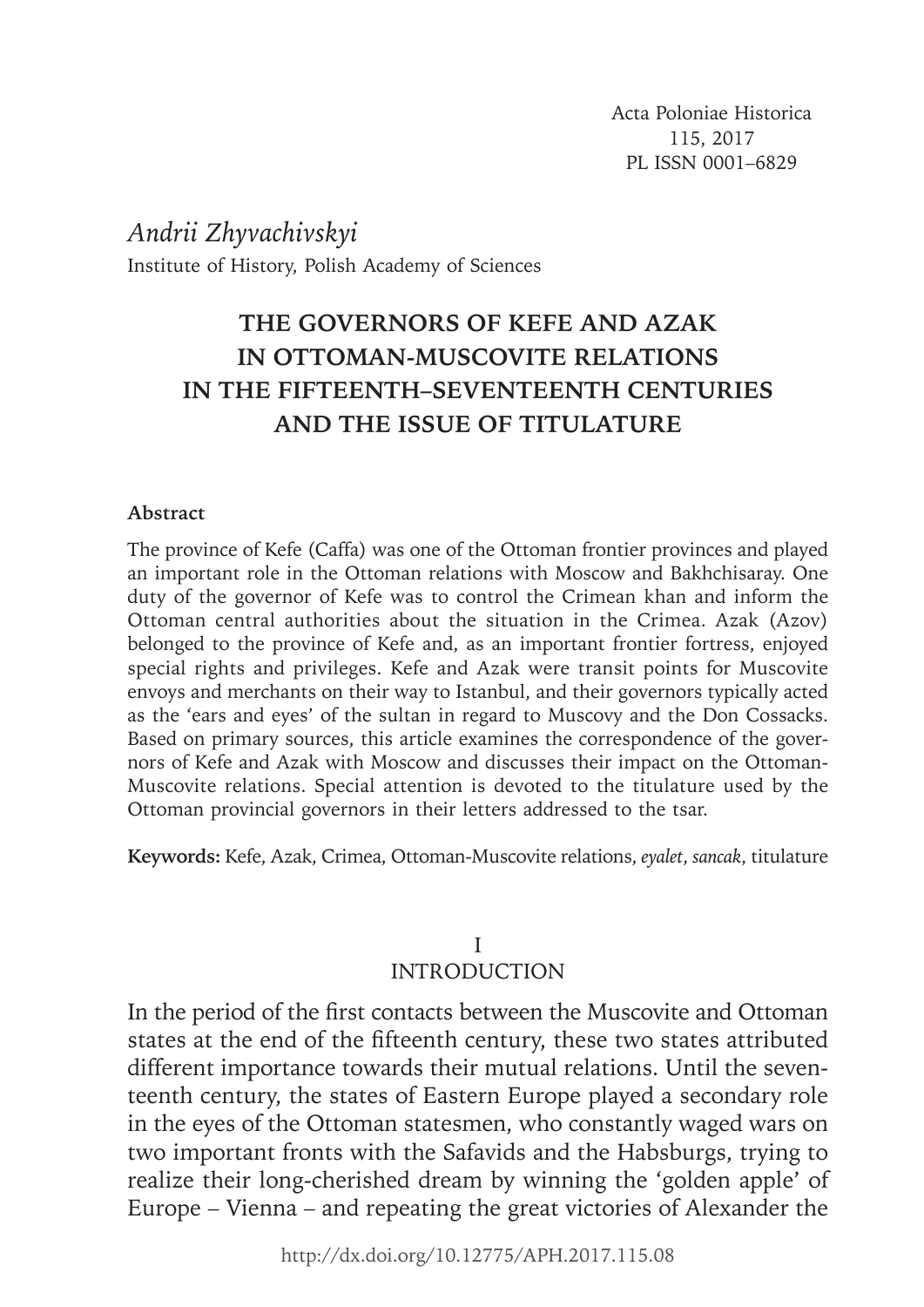Acta Poloniae Historica 115, 2017 PL ISSN 0001–6829

*Andrii Zhyvachivskyi* Institute of History, Polish Academy of Sciences

# **THE GOVERNORS OF KEFE AND AZAK IN OTTOMAN-MUSCOVITE RELATIONS IN THE FIFTEENTH–SEVENTEENTH CENTURIES AND THE ISSUE OF TITULATURE**

### **Abstract**

The province of Kefe (Caffa) was one of the Ottoman frontier provinces and played an important role in the Ottoman relations with Moscow and Bakhchisaray. One duty of the governor of Kefe was to control the Crimean khan and inform the Ottoman central authorities about the situation in the Crimea. Azak (Azov) belonged to the province of Kefe and, as an important frontier fortress, enjoyed special rights and privileges. Kefe and Azak were transit points for Muscovite envoys and merchants on their way to Istanbul, and their governors typically acted as the 'ears and eyes' of the sultan in regard to Muscovy and the Don Cossacks. Based on primary sources, this article examines the correspondence of the governors of Kefe and Azak with Moscow and discusses their impact on the Ottoman-Muscovite relations. Special attention is devoted to the titulature used by the Ottoman provincial governors in their letters addressed to the tsar.

**Keywords:** Kefe, Azak, Crimea, Ottoman-Muscovite relations, *eyalet*, *sancak*, titulature

### I **INTRODUCTION**

In the period of the first contacts between the Muscovite and Ottoman states at the end of the fifteenth century, these two states attributed different importance towards their mutual relations. Until the seventeenth century, the states of Eastern Europe played a secondary role in the eyes of the Ottoman statesmen, who constantly waged wars on two important fronts with the Safavids and the Habsburgs, trying to realize their long-cherished dream by winning the 'golden apple' of Europe – Vienna – and repeating the great victories of Alexander the

http://dx.doi.org/10.12775/APH.2017.115.08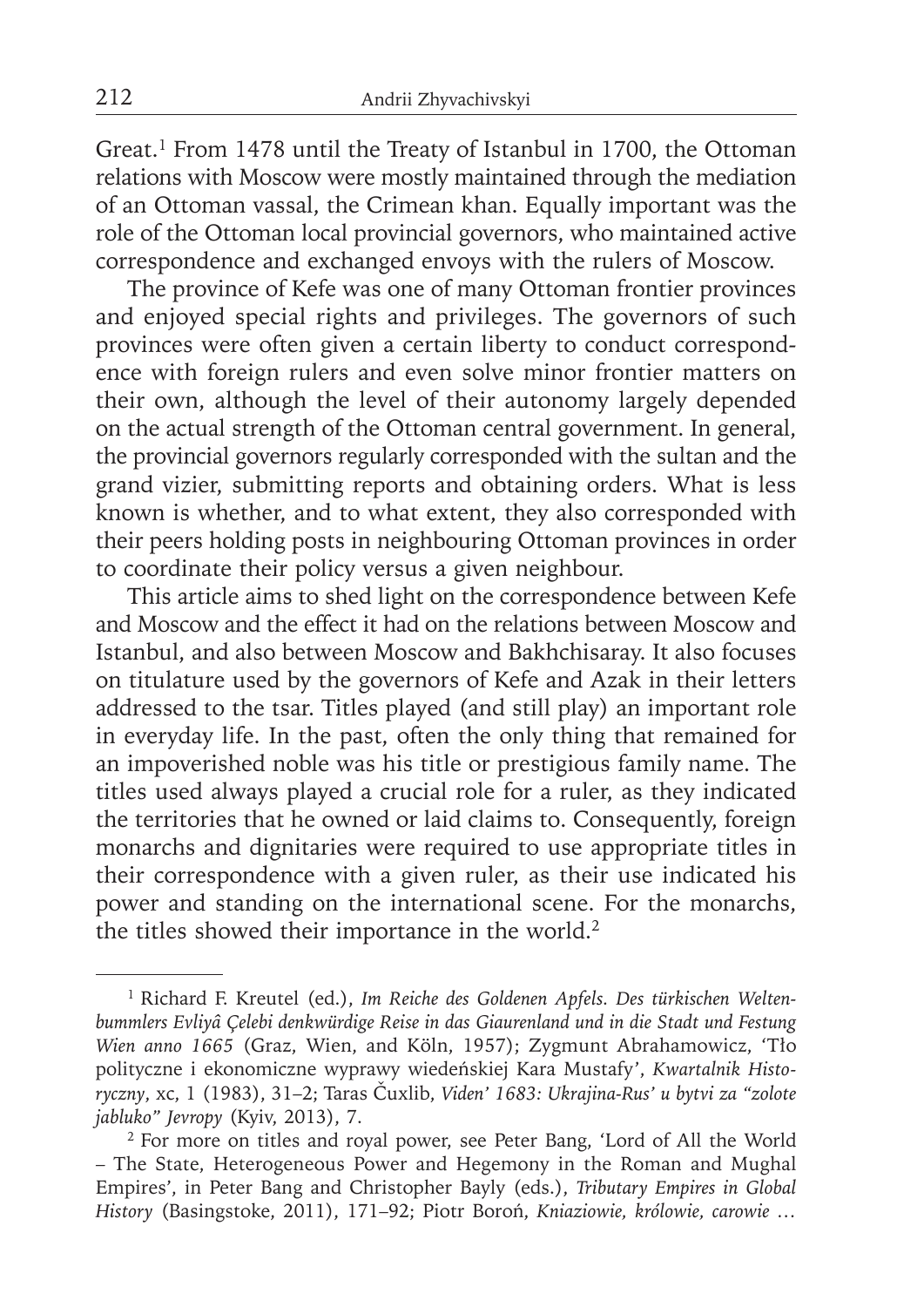Great.<sup>1</sup> From 1478 until the Treaty of Istanbul in 1700, the Ottoman relations with Moscow were mostly maintained through the mediation of an Ottoman vassal, the Crimean khan. Equally important was the role of the Ottoman local provincial governors, who maintained active correspondence and exchanged envoys with the rulers of Moscow.

The province of Kefe was one of many Ottoman frontier provinces and enjoyed special rights and privileges. The governors of such provinces were often given a certain liberty to conduct correspondence with foreign rulers and even solve minor frontier matters on their own, although the level of their autonomy largely depended on the actual strength of the Ottoman central government. In general, the provincial governors regularly corresponded with the sultan and the grand vizier, submitting reports and obtaining orders. What is less known is whether, and to what extent, they also corresponded with their peers holding posts in neighbouring Ottoman provinces in order to coordinate their policy versus a given neighbour.

This article aims to shed light on the correspondence between Kefe and Moscow and the effect it had on the relations between Moscow and Istanbul, and also between Moscow and Bakhchisaray. It also focuses on titulature used by the governors of Kefe and Azak in their letters addressed to the tsar. Titles played (and still play) an important role in everyday life. In the past, often the only thing that remained for an impoverished noble was his title or prestigious family name. The titles used always played a crucial role for a ruler, as they indicated the territories that he owned or laid claims to. Consequently, foreign monarchs and dignitaries were required to use appropriate titles in their correspondence with a given ruler, as their use indicated his power and standing on the international scene. For the monarchs, the titles showed their importance in the world.<sup>2</sup>

<sup>1</sup> Richard F. Kreutel (ed.), *Im Reiche des Goldenen Apfels. Des türkischen Weltenbummlers Evliyâ Çelebi denkwürdige Reise in das Giaurenland und in die Stadt und Festung Wien anno 1665* (Graz, Wien, and Köln, 1957); Zygmunt Abrahamowicz, 'Tło polityczne i ekonomiczne wyprawy wiedeńskiej Kara Mustafy', *Kwartalnik Historyczny*, xc, 1 (1983), 31–2; Taras Čuxlib, *Viden' 1683: Ukrajina-Rus' u bytvi za "zolote jabluko" Jevropy* (Kyiv, 2013), 7.

<sup>2</sup> For more on titles and royal power, see Peter Bang, 'Lord of All the World – The State, Heterogeneous Power and Hegemony in the Roman and Mughal Empires', in Peter Bang and Christopher Bayly (eds.), *Tributary Empires in Global History* (Basingstoke, 2011), 171–92; Piotr Boroń, *Kniaziowie, królowie, carowie …*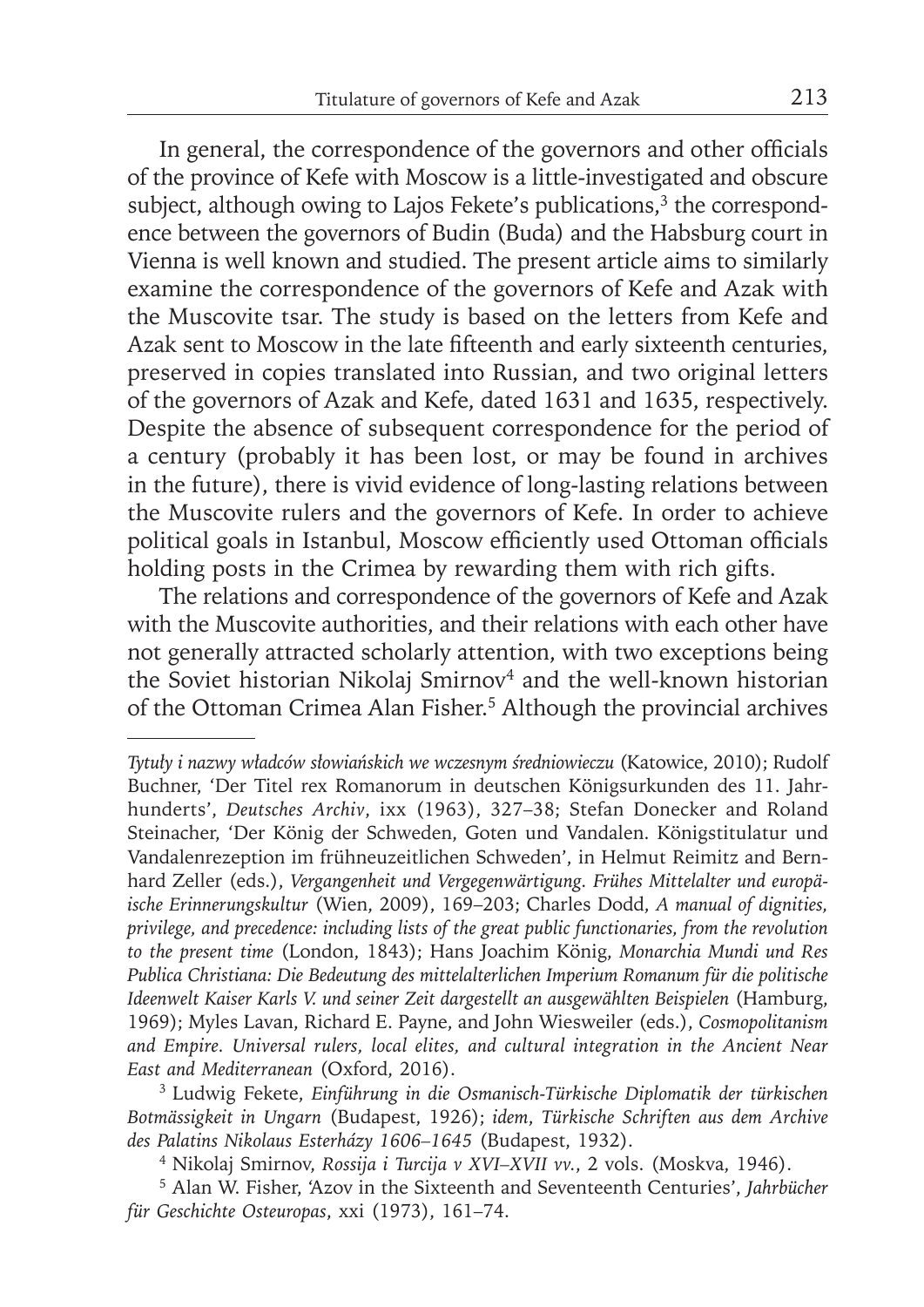In general, the correspondence of the governors and other officials of the province of Kefe with Moscow is a little-investigated and obscure subject, although owing to Lajos Fekete's publications, $3$  the correspondence between the governors of Budin (Buda) and the Habsburg court in Vienna is well known and studied. The present article aims to similarly examine the correspondence of the governors of Kefe and Azak with the Muscovite tsar. The study is based on the letters from Kefe and Azak sent to Moscow in the late fifteenth and early sixteenth centuries, preserved in copies translated into Russian, and two original letters of the governors of Azak and Kefe, dated 1631 and 1635, respectively. Despite the absence of subsequent correspondence for the period of a century (probably it has been lost, or may be found in archives in the future), there is vivid evidence of long-lasting relations between the Muscovite rulers and the governors of Kefe. In order to achieve political goals in Istanbul, Moscow efficiently used Ottoman officials holding posts in the Crimea by rewarding them with rich gifts.

The relations and correspondence of the governors of Kefe and Azak with the Muscovite authorities, and their relations with each other have not generally attracted scholarly attention, with two exceptions being the Soviet historian Nikolaj Smirnov<sup>4</sup> and the well-known historian of the Ottoman Crimea Alan Fisher.<sup>5</sup> Although the provincial archives

*Tytuły i nazwy władców słowiańskich we wczesnym średniowieczu* (Katowice, 2010); Rudolf Buchner, 'Der Titel rex Romanorum in deutschen Königsurkunden des 11. Jahrhunderts', *Deutsches Archiv*, ixx (1963), 327–38; Stefan Donecker and Roland Steinacher, 'Der König der Schweden, Goten und Vandalen. Königstitulatur und Vandalenrezeption im frühneuzeitlichen Schweden', in Helmut Reimitz and Bernhard Zeller (eds.), *Vergangenheit und Vergegenwärtigung. Frühes Mittelalter und europäische Erinnerungskultur* (Wien, 2009), 169–203; Charles Dodd, *A manual of dignities, privilege, and precedence: including lists of the great public functionaries, from the revolution to the present time* (London, 1843); Hans Joachim König, *Monarchia Mundi und Res*  Publica Christiana: Die Bedeutung des mittelalterlichen Imperium Romanum für die politische *Ideenwelt Kaiser Karls V. und seiner Zeit dargestellt an ausgewählten Beispielen* (Hamburg, 1969); Myles Lavan, Richard E. Payne, and John Wiesweiler (eds.), *Cosmopolitanism and Empire. Universal rulers, local elites, and cultural integration in the Ancient Near East and Mediterranean* (Oxford, 2016).

<sup>3</sup> Ludwig Fekete, *Einführung in die Osmanisch-Türkische Diplomatik der türkischen Botmässigkeit in Ungarn* (Budapest, 1926); *idem*, *Türkische Schriften aus dem Archive des Palatins Nikolaus Esterházy 1606–1645* (Budapest, 1932).

<sup>4</sup> Nikolaj Smirnov, *Rossija i Turcija v XVI–XVII vv.*, 2 vols. (Moskva, 1946).

<sup>5</sup> Alan W. Fisher, 'Azov in the Sixteenth and Seventeenth Centuries', *Jahrbücher für Geschichte Osteuropas*, xxi (1973), 161–74.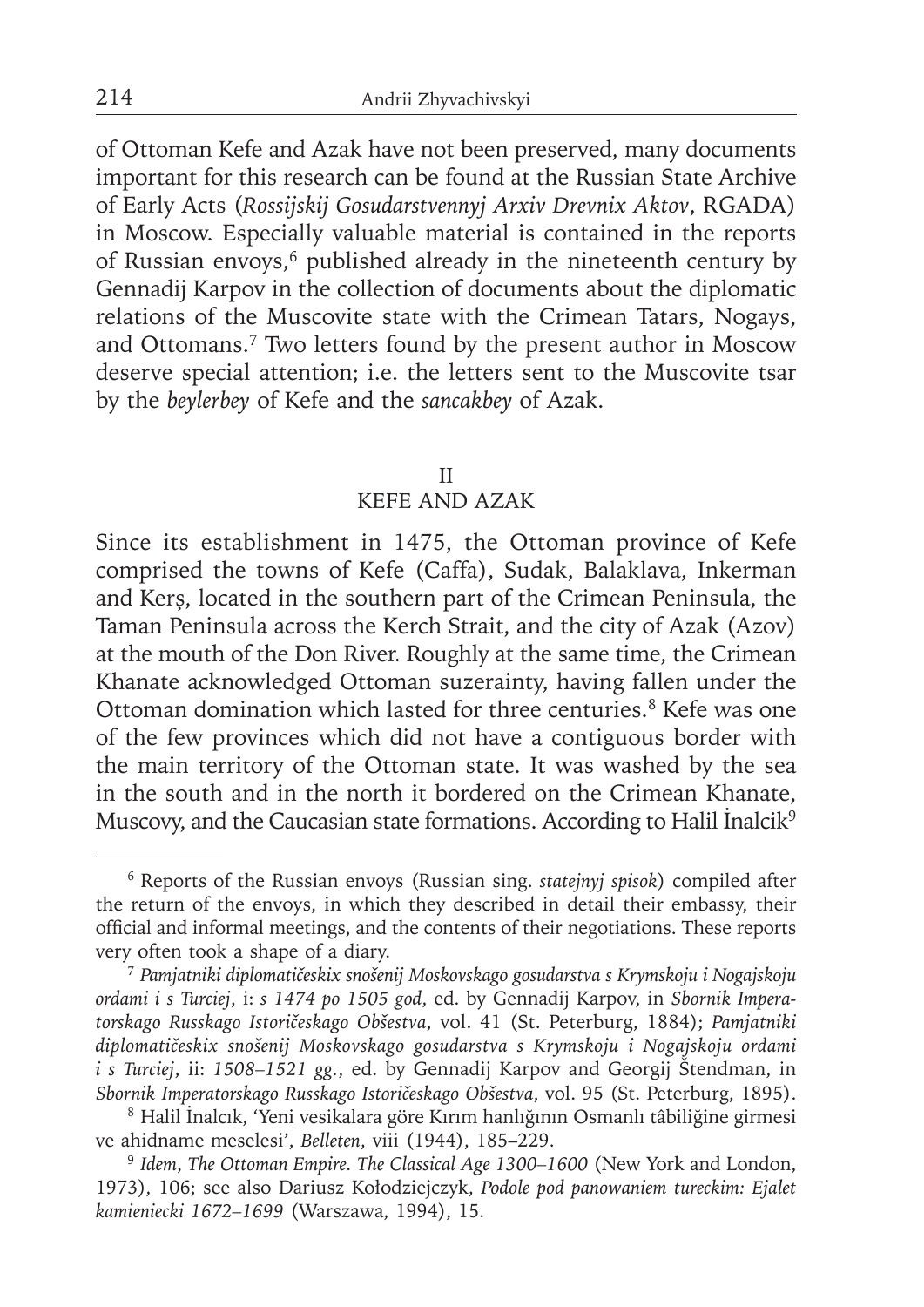of Ottoman Kefe and Azak have not been preserved, many documents important for this research can be found at the Russian State Archive of Early Acts (*Rossijskij Gosudarstvennyj Arxiv Drevnix Aktov*, RGADA) in Moscow. Especially valuable material is contained in the reports of Russian envoys,<sup>6</sup> published already in the nineteenth century by Gennadij Karpov in the collection of documents about the diplomatic relations of the Muscovite state with the Crimean Tatars, Nogays, and Ottomans.7 Two letters found by the present author in Moscow deserve special attention; i.e. the letters sent to the Muscovite tsar by the *beylerbey* of Kefe and the *sancakbey* of Azak.

#### II

## KEFE AND AZAK

Since its establishment in 1475, the Ottoman province of Kefe comprised the towns of Kefe (Caffa), Sudak, Balaklava, Inkerman and Kerş, located in the southern part of the Crimean Peninsula, the Taman Peninsula across the Kerch Strait, and the city of Azak (Azov) at the mouth of the Don River. Roughly at the same time, the Crimean Khanate acknowledged Ottoman suzerainty, having fallen under the Ottoman domination which lasted for three centuries.<sup>8</sup> Kefe was one of the few provinces which did not have a contiguous border with the main territory of the Ottoman state. It was washed by the sea in the south and in the north it bordered on the Crimean Khanate, Muscovy, and the Caucasian state formations. According to Halil İnalcik9

<sup>6</sup> Reports of the Russian envoys (Russian sing. *statejnyj spisok*) compiled after the return of the envoys, in which they described in detail their embassy, their official and informal meetings, and the contents of their negotiations. These reports very often took a shape of a diary.

<sup>7</sup>*Pamjatniki diplomatičeskix snošenij Moskovskago gosudarstva s Krymskoju i Nogajskoju ordami i s Turciej*, i: *s 1474 po 1505 god*, ed. by Gennadij Karpov, in *Sbornik Imperatorskago Russkago Istoričeskago Obšestva*, vol. 41 (St. Peterburg, 1884); *Pamjatniki diplomatičeskix snošenij Moskovskago gosudarstva s Krymskoju i Nogajskoju ordami i s Turciej*, ii: *1508–1521 gg.*, ed. by Gennadij Karpov and Georgij Štendman, in *Sbornik Imperatorskago Russkago Istoričeskago Obšestva*, vol. 95 (St. Peterburg, 1895).

<sup>8</sup> Halil İnalcık, 'Yeni vesikalara göre Kırım hanlığının Osmanlı tâbiliğine girmesi ve ahidname meselesi', *Belleten*, viii (1944), 185–229.

<sup>9</sup>*Idem*, *The Ottoman Empire. The Classical Age 1300–1600* (New York and London, 1973), 106; see also Dariusz Kołodziejczyk, *Podole pod panowaniem tureckim: Ejalet kamieniecki 1672–1699* (Warszawa, 1994), 15.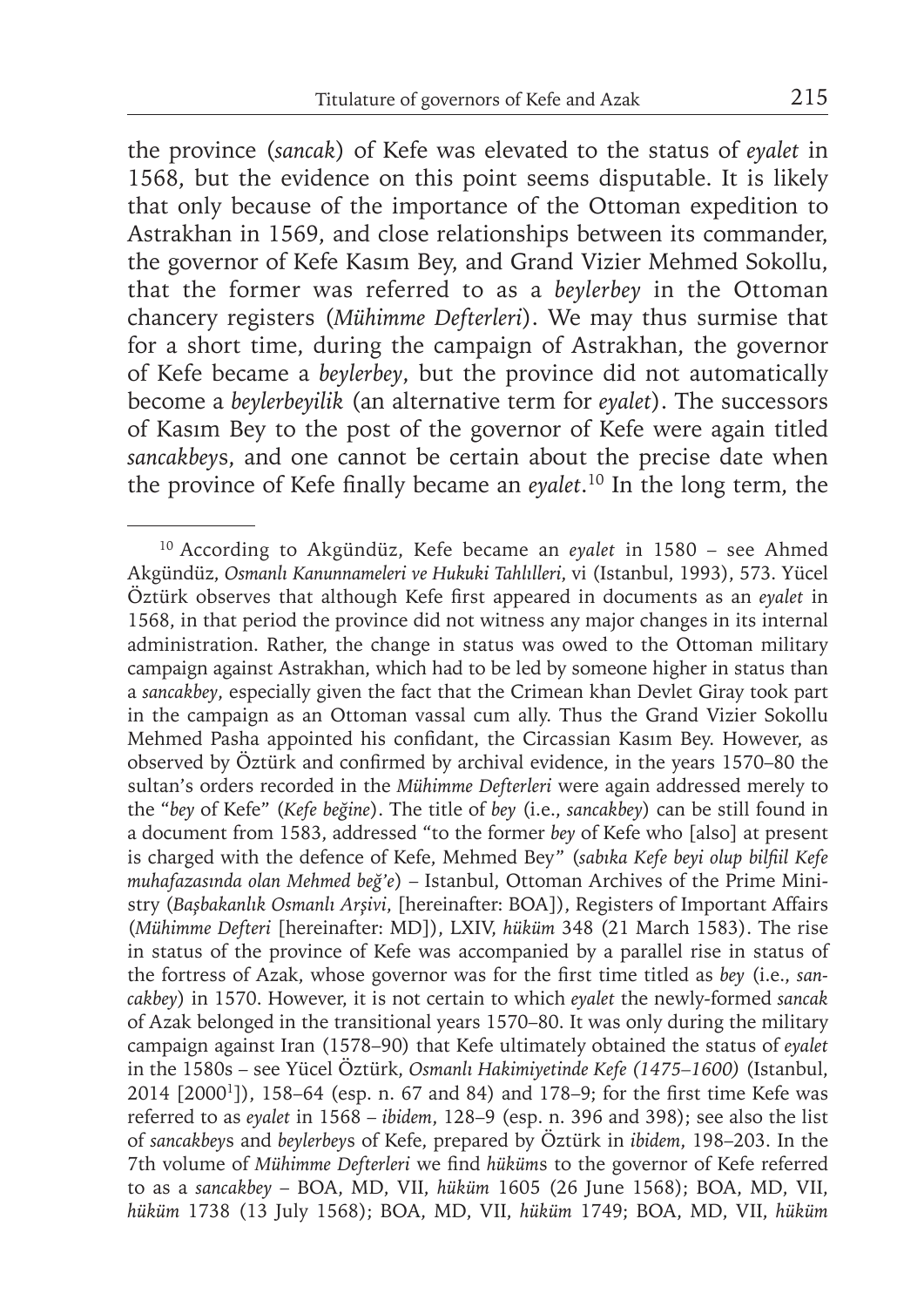the province (*sancak*) of Kefe was elevated to the status of *eyalet* in 1568, but the evidence on this point seems disputable. It is likely that only because of the importance of the Ottoman expedition to Astrakhan in 1569, and close relationships between its commander, the governor of Kefe Kasım Bey, and Grand Vizier Mehmed Sokollu, that the former was referred to as a *beylerbey* in the Ottoman chancery registers (*Mühimme Defterleri*). We may thus surmise that for a short time, during the campaign of Astrakhan, the governor of Kefe became a *beylerbey*, but the province did not automatically become a *beylerbeyilik* (an alternative term for *eyalet*). The successors of Kasım Bey to the post of the governor of Kefe were again titled *sancakbey*s, and one cannot be certain about the precise date when the province of Kefe finally became an *eyalet*.<sup>10</sup> In the long term, the

<sup>10</sup> According to Akgündüz, Kefe became an *eyalet* in 1580 – see Ahmed Akgündüz, *Osmanlı Kanunnameleri ve Hukuki Tahlılleri*, vi (Istanbul, 1993), 573. Yücel Öztürk observes that although Kefe first appeared in documents as an *eyalet* in 1568, in that period the province did not witness any major changes in its internal administration. Rather, the change in status was owed to the Ottoman military campaign against Astrakhan, which had to be led by someone higher in status than a *sancakbey*, especially given the fact that the Crimean khan Devlet Giray took part in the campaign as an Ottoman vassal cum ally. Thus the Grand Vizier Sokollu Mehmed Pasha appointed his confidant, the Circassian Kasım Bey. However, as observed by Öztürk and confirmed by archival evidence, in the years 1570–80 the sultan's orders recorded in the *Mühimme Defterleri* were again addressed merely to the "*bey* of Kefe" (*Kefe beğine*). The title of *bey* (i.e., *sancakbey*) can be still found in a document from 1583, addressed "to the former *bey* of Kefe who [also] at present is charged with the defence of Kefe, Mehmed Bey" (sabıka Kefe beyi olup bilfiil Kefe *muhafazasında olan Mehmed beğ'e*) – Istanbul, Ottoman Archives of the Prime Ministry (*Başbakanlık Osmanlı Arşivi*, [hereinafter: BOA]), Registers of Important Affairs (*Mühimme Defteri* [hereinafter: MD]), LXIV, *hüküm* 348 (21 March 1583). The rise in status of the province of Kefe was accompanied by a parallel rise in status of the fortress of Azak, whose governor was for the first time titled as *bey* (i.e., *sancakbey*) in 1570. However, it is not certain to which *eyalet* the newly-formed *sancak* of Azak belonged in the transitional years 1570–80. It was only during the military campaign against Iran (1578–90) that Kefe ultimately obtained the status of *eyalet* in the 1580s – see Yücel Öztürk, *Osmanlı Hakimiyetinde Kefe (1475–1600)* (Istanbul, 2014 [2000<sup>1</sup>]), 158-64 (esp. n. 67 and 84) and 178-9; for the first time Kefe was referred to as *eyalet* in 1568 – *ibidem*, 128–9 (esp. n. 396 and 398); see also the list of *sancakbey*s and *beylerbey*s of Kefe, prepared by Öztürk in *ibidem*, 198–203. In the 7th volume of *Mühimme Defterleri* we find *hüküms* to the governor of Kefe referred to as a *sancakbey* – BOA, MD, VII, *hüküm* 1605 (26 June 1568); BOA, MD, VII, *hüküm* 1738 (13 July 1568); BOA, MD, VII, *hüküm* 1749; BOA, MD, VII, *hüküm*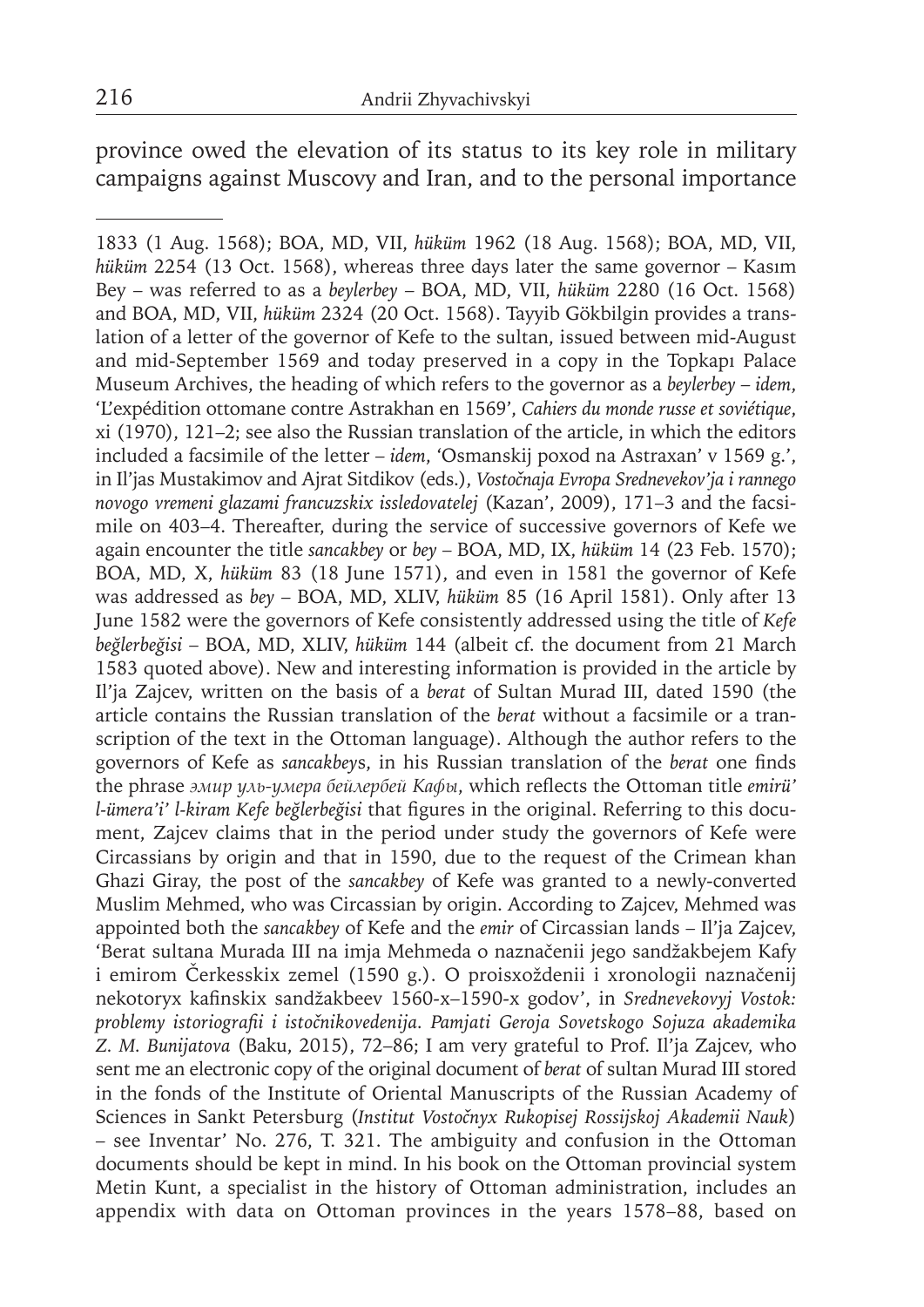province owed the elevation of its status to its key role in military campaigns against Muscovy and Iran, and to the personal importance

1833 (1 Aug. 1568); BOA, MD, VII, *hüküm* 1962 (18 Aug. 1568); BOA, MD, VII, *hüküm* 2254 (13 Oct. 1568), whereas three days later the same governor – Kasım Bey – was referred to as a *beylerbey* – BOA, MD, VII, *hüküm* 2280 (16 Oct. 1568) and BOA, MD, VII, *hüküm* 2324 (20 Oct. 1568). Tayyib Gökbilgin provides a translation of a letter of the governor of Kefe to the sultan, issued between mid-August and mid-September 1569 and today preserved in a copy in the Topkapı Palace Museum Archives, the heading of which refers to the governor as a *beylerbey* – *idem*, 'L'expédition ottomane contre Astrakhan en 1569', *Cahiers du monde russe et soviétique*, xi (1970), 121–2; see also the Russian translation of the article, in which the editors included a facsimile of the letter – *idem*, 'Osmanskij poxod na Astraxan' v 1569 g.', in Il'jas Mustakimov and Ajrat Sitdikov (eds.), *Vostočnaja Evropa Srednevekov'ja i rannego novogo vremeni glazami francuzskix issledovatelej* (Kazan', 2009), 171–3 and the facsimile on 403–4. Thereafter, during the service of successive governors of Kefe we again encounter the title *sancakbey* or *bey* – BOA, MD, IX, *hüküm* 14 (23 Feb. 1570); BOA, MD, X, *hüküm* 83 (18 June 1571), and even in 1581 the governor of Kefe was addressed as *bey* – BOA, MD, XLIV, *hüküm* 85 (16 April 1581). Only after 13 June 1582 were the governors of Kefe consistently addressed using the title of *Kefe beğlerbeğisi* – BOA, MD, XLIV, *hüküm* 144 (albeit cf. the document from 21 March 1583 quoted above). New and interesting information is provided in the article by Il'ja Zajcev, written on the basis of a *berat* of Sultan Murad III, dated 1590 (the article contains the Russian translation of the *berat* without a facsimile or a transcription of the text in the Ottoman language). Although the author refers to the governors of Kefe as *sancakbeys*, in his Russian translation of the *berat* one finds the phrase эмир уль-умера бейлербей Кафы, which reflects the Ottoman title emirü' *l-ümera'i' l-kiram Kefe beğlerbeğisi that figures in the original. Referring to this docu*ment, Zajcev claims that in the period under study the governors of Kefe were Circassians by origin and that in 1590, due to the request of the Crimean khan Ghazi Giray, the post of the *sancakbey* of Kefe was granted to a newly-converted Muslim Mehmed, who was Circassian by origin. According to Zajcev, Mehmed was appointed both the *sancakbey* of Kefe and the *emir* of Circassian lands – Il'ja Zajcev, 'Berat sultana Murada III na imja Mehmeda o naznačenii jego sandžakbejem Kafy i emirom Čerkesskix zemel (1590 g.). O proisxoždenii i xronologii naznačenij nekotoryx kafinskix sandžakbeev 1560-x-1590-x godov', in *Srednevekovyj Vostok: problemy istoriografi i i istočnikovedenija. Pamjati Geroja Sovetskogo Sojuza akademika Z. M. Bunijatova* (Baku, 2015), 72–86; I am very grateful to Prof. Il'ja Zajcev, who sent me an electronic copy of the original document of *berat* of sultan Murad III stored in the fonds of the Institute of Oriental Manuscripts of the Russian Academy of Sciences in Sankt Petersburg (*Institut Vostočnyx Rukopisej Rossijskoj Akademii Nauk*) – see Inventar' No. 276, T. 321. The ambiguity and confusion in the Ottoman documents should be kept in mind. In his book on the Ottoman provincial system Metin Kunt, a specialist in the history of Ottoman administration, includes an appendix with data on Ottoman provinces in the years 1578–88, based on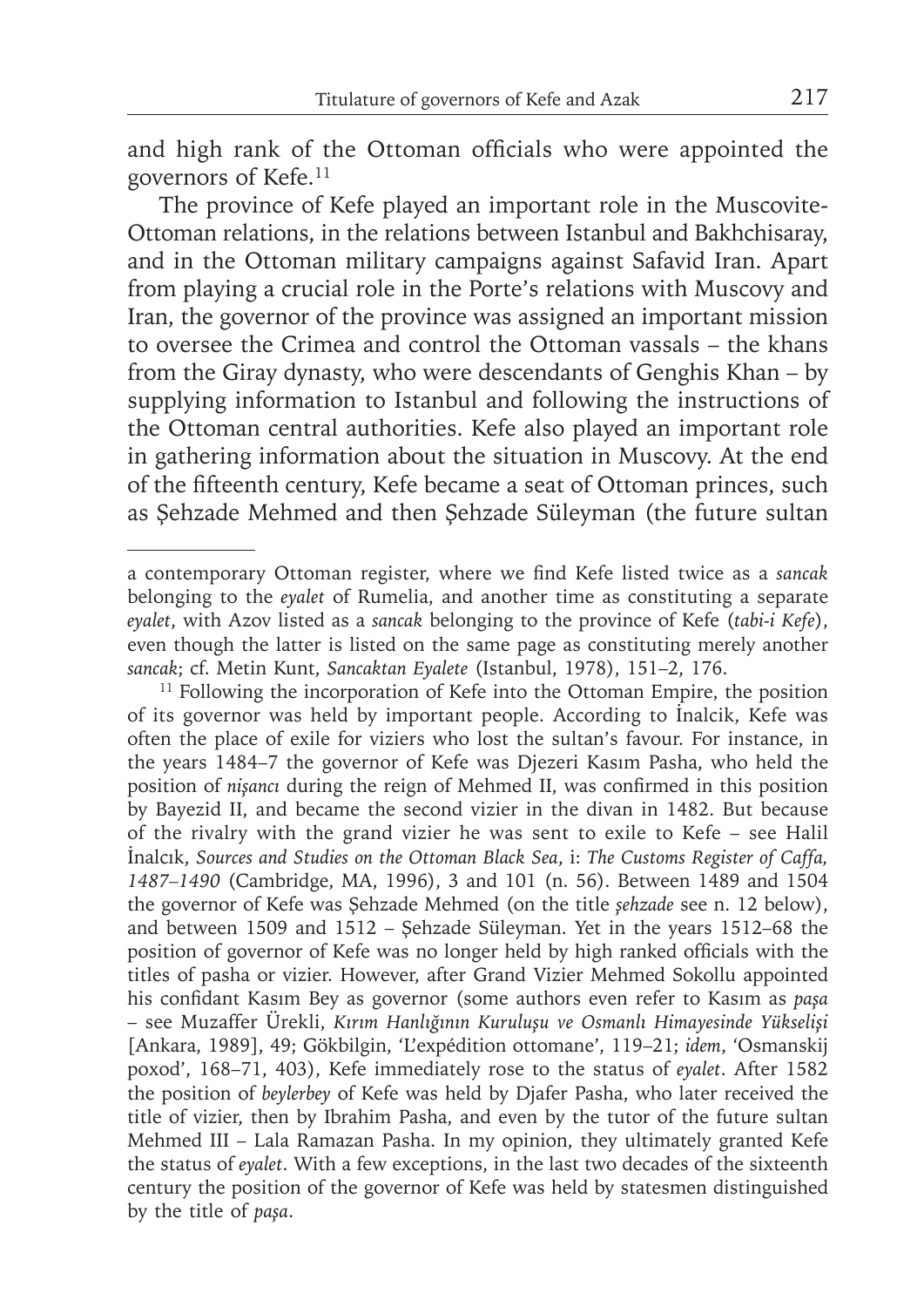and high rank of the Ottoman officials who were appointed the governors of Kefe.<sup>11</sup>

The province of Kefe played an important role in the Muscovite-Ottoman relations, in the relations between Istanbul and Bakhchisaray, and in the Ottoman military campaigns against Safavid Iran. Apart from playing a crucial role in the Porte's relations with Muscovy and Iran, the governor of the province was assigned an important mission to oversee the Crimea and control the Ottoman vassals – the khans from the Giray dynasty, who were descendants of Genghis Khan – by supplying information to Istanbul and following the instructions of the Ottoman central authorities. Kefe also played an important role in gathering information about the situation in Muscovy. At the end of the fifteenth century, Kefe became a seat of Ottoman princes, such as Şehzade Mehmed and then Şehzade Süleyman (the future sultan

<sup>11</sup> Following the incorporation of Kefe into the Ottoman Empire, the position of its governor was held by important people. According to İnalcik, Kefe was often the place of exile for viziers who lost the sultan's favour. For instance, in the years 1484–7 the governor of Kefe was Djezeri Kasım Pasha, who held the position of *nişanci* during the reign of Mehmed II, was confirmed in this position by Bayezid II, and became the second vizier in the divan in 1482. But because of the rivalry with the grand vizier he was sent to exile to Kefe – see Halil İnalcık, *Sources and Studies on the Ottoman Black Sea*, i: *The Customs Register of Caffa, 1487–1490* (Cambridge, MA, 1996), 3 and 101 (n. 56). Between 1489 and 1504 the governor of Kefe was Şehzade Mehmed (on the title *şehzade* see n. 12 below), and between 1509 and 1512 – Şehzade Süleyman. Yet in the years 1512–68 the position of governor of Kefe was no longer held by high ranked officials with the titles of pasha or vizier. However, after Grand Vizier Mehmed Sokollu appointed his confidant Kasım Bey as governor (some authors even refer to Kasım as paşa – see Muzaffer Ürekli, *Kırım Hanlığının Kuruluşu ve Osmanlı Himayesinde Yükselişi* [Ankara, 1989], 49; Gökbilgin, 'L'expédition ottomane', 119–21; *idem*, 'Osmanskij poxod', 168–71, 403), Kefe immediately rose to the status of *eyalet*. After 1582 the position of *beylerbey* of Kefe was held by Djafer Pasha, who later received the title of vizier, then by Ibrahim Pasha, and even by the tutor of the future sultan Mehmed III – Lala Ramazan Pasha. In my opinion, they ultimately granted Kefe the status of *eyalet*. With a few exceptions, in the last two decades of the sixteenth century the position of the governor of Kefe was held by statesmen distinguished by the title of *paşa*.

a contemporary Ottoman register, where we find Kefe listed twice as a sancak belonging to the *eyalet* of Rumelia, and another time as constituting a separate *eyalet*, with Azov listed as a *sancak* belonging to the province of Kefe (*tabi-i Kefe*), even though the latter is listed on the same page as constituting merely another *sancak*; cf. Metin Kunt, *Sancaktan Eyalete* (Istanbul, 1978), 151–2, 176.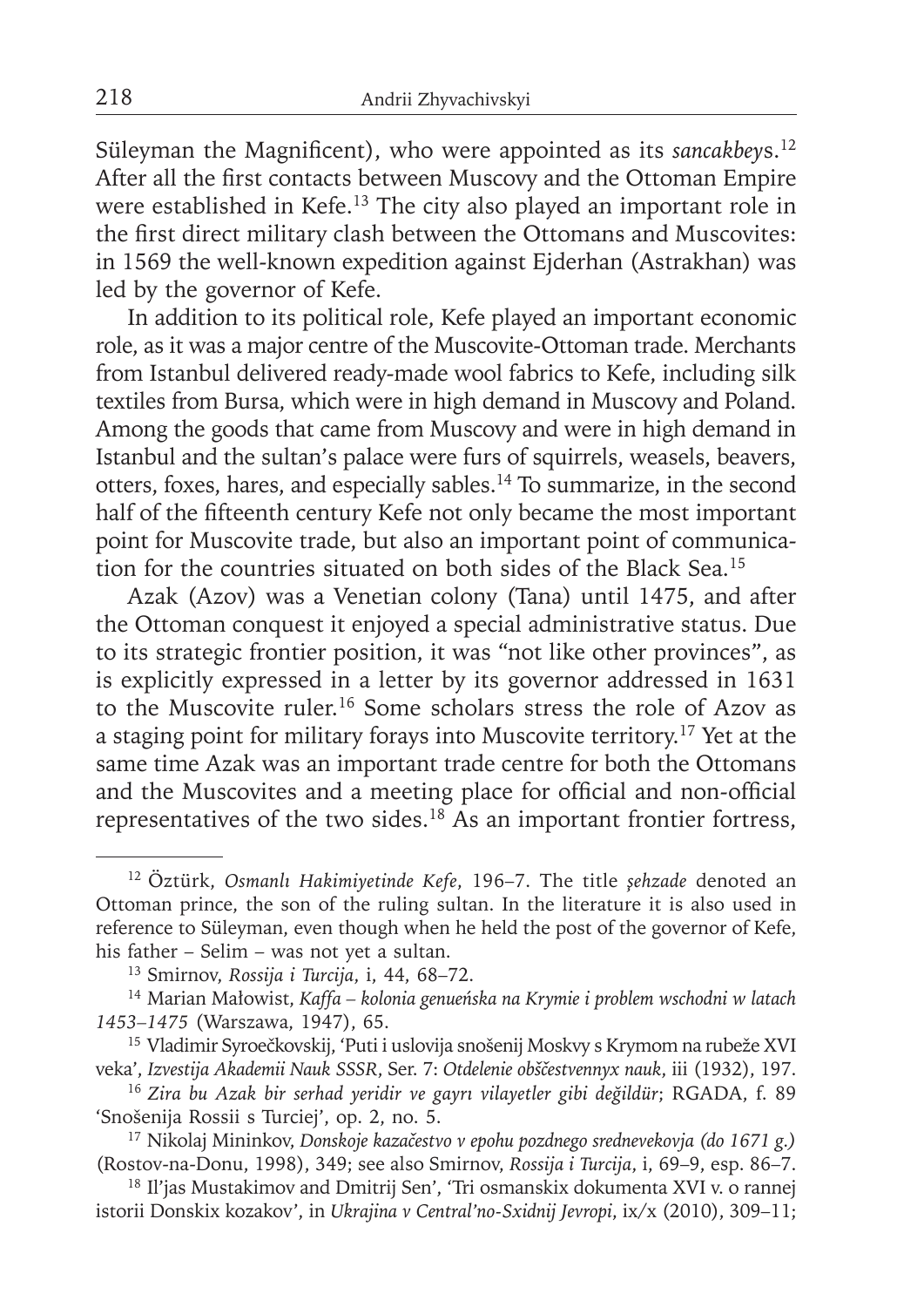Süleyman the Magnificent), who were appointed as its *sancakbeys*.<sup>12</sup> After all the first contacts between Muscovy and the Ottoman Empire were established in Kefe.13 The city also played an important role in the first direct military clash between the Ottomans and Muscovites: in 1569 the well-known expedition against Ejderhan (Astrakhan) was led by the governor of Kefe.

In addition to its political role, Kefe played an important economic role, as it was a major centre of the Muscovite-Ottoman trade. Merchants from Istanbul delivered ready-made wool fabrics to Kefe, including silk textiles from Bursa, which were in high demand in Muscovy and Poland. Among the goods that came from Muscovy and were in high demand in Istanbul and the sultan's palace were furs of squirrels, weasels, beavers, otters, foxes, hares, and especially sables.14 To summarize, in the second half of the fifteenth century Kefe not only became the most important point for Muscovite trade, but also an important point of communication for the countries situated on both sides of the Black Sea.15

Azak (Azov) was a Venetian colony (Tana) until 1475, and after the Ottoman conquest it enjoyed a special administrative status. Due to its strategic frontier position, it was "not like other provinces", as is explicitly expressed in a letter by its governor addressed in 1631 to the Muscovite ruler.16 Some scholars stress the role of Azov as a staging point for military forays into Muscovite territory.17 Yet at the same time Azak was an important trade centre for both the Ottomans and the Muscovites and a meeting place for official and non-official representatives of the two sides.<sup>18</sup> As an important frontier fortress,

18 Il'jas Mustakimov and Dmitrij Sen', 'Tri osmanskix dokumenta XVI v. o rannej istorii Donskix kozakov', in *Ukrajina v Central'no-Sxidnij Jevropi*, ix/x (2010), 309–11;

<sup>12</sup> Öztürk, *Osmanlı Hakimiyetinde Kefe*, 196–7. The title *şehzade* denoted an Ottoman prince, the son of the ruling sultan. In the literature it is also used in reference to Süleyman, even though when he held the post of the governor of Kefe, his father – Selim – was not yet a sultan.

<sup>13</sup> Smirnov, *Rossija i Turcija*, i, 44, 68–72.

<sup>14</sup> Marian Małowist, *Kaffa – kolonia genueńska na Krymie i problem wschodni w latach 1453–1475* (Warszawa, 1947), 65.

<sup>15</sup> Vladimir Syroečkovskij, 'Puti i uslovija snošenij Moskvy s Krymom na rubeže XVI veka', *Izvestija Akademii Nauk SSSR*, Ser. 7: *Otdelenie obščestvennyx nauk*, iii (1932), 197.

<sup>16</sup>*Zira bu Azak bir serhad yeridir ve gayrı vilayetler gibi değildür*; RGADA, f. 89 'Snošenija Rossii s Turciej', op. 2, no. 5.

<sup>17</sup> Nikolaj Mininkov, *Donskoje kazačestvo v epohu pozdnego srednevekovja (do 1671 g.)* (Rostov-na-Donu, 1998), 349; see also Smirnov, *Rossija i Turcija*, i, 69–9, esp. 86–7.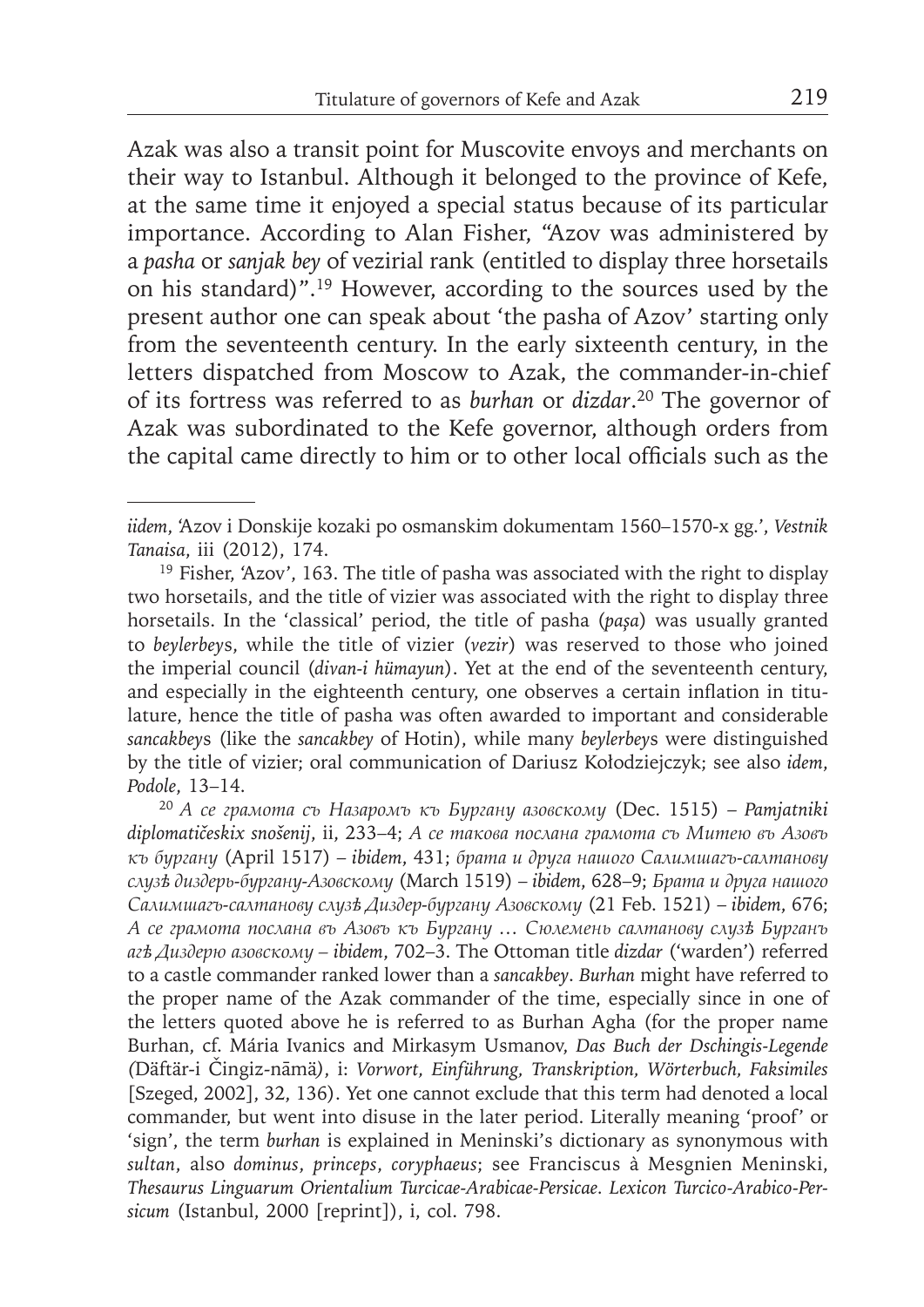Azak was also a transit point for Muscovite envoys and merchants on their way to Istanbul. Although it belonged to the province of Kefe, at the same time it enjoyed a special status because of its particular importance. According to Alan Fisher, "Azov was administered by a *pasha* or *sanjak bey* of vezirial rank (entitled to display three horsetails on his standard)".19 However, according to the sources used by the present author one can speak about 'the pasha of Azov' starting only from the seventeenth century. In the early sixteenth century, in the letters dispatched from Moscow to Azak, the commander-in-chief of its fortress was referred to as *burhan* or *dizdar*. 20 The governor of Azak was subordinated to the Kefe governor, although orders from the capital came directly to him or to other local officials such as the

*iidem*, 'Azov i Donskije kozaki po osmanskim dokumentam 1560–1570-x gg.', *Vestnik Tanaisa*, iii (2012), 174.

<sup>&</sup>lt;sup>19</sup> Fisher, 'Azov', 163. The title of pasha was associated with the right to display two horsetails, and the title of vizier was associated with the right to display three horsetails. In the 'classical' period, the title of pasha (*paşa*) was usually granted to *beylerbey*s, while the title of vizier (*vezir*) was reserved to those who joined the imperial council (*divan-i hümayun*). Yet at the end of the seventeenth century, and especially in the eighteenth century, one observes a certain inflation in titulature, hence the title of pasha was often awarded to important and considerable *sancakbey*s (like the *sancakbey* of Hotin), while many *beylerbey*s were distinguished by the title of vizier; oral communication of Dariusz Kołodziejczyk; see also *idem*, *Podole*, 13–14.

<sup>20</sup>*А се грамота съ Назаромъ къ Бургану азовскому* (Dec. 1515) – *Pamjatniki diplomatičeskix snošenij*, ii, 233–4; *А се такова послана грамота съ Митею въ Азовъ къ бургану* (April 1517) – *ibidem*, 431; *брата и друга нашого Салимшагъ-салтанову слузѣ диздерь-бургану-Азовскому* (March 1519) – *ibidem*, 628–9; *Брата и друга нашого Салимшагъ-салтанову слузѣ Диздер-бургану Азовскому* (21 Feb. 1521) – *ibidem*, 676; *А се грамота послана въ Азовъ къ Бургану … Сюлемень салтанову слузѣ Бурганъ агѣ Диздерю азовскому – ibidem*, 702–3. The Ottoman title *dizdar* ('warden') referred to a castle commander ranked lower than a *sancakbey*. *Burhan* might have referred to the proper name of the Azak commander of the time, especially since in one of the letters quoted above he is referred to as Burhan Agha (for the proper name Burhan, cf. Mária Ivanics and Mirkasym Usmanov, *Das Buch der Dschingis-Legende (*Däftär-i Čingiz-nāmä*)*, i: *Vorwort, Einführung, Transkription, Wörterbuch, Faksimiles* [Szeged, 2002], 32, 136). Yet one cannot exclude that this term had denoted a local commander, but went into disuse in the later period. Literally meaning 'proof' or 'sign', the term *burhan* is explained in Meninski's dictionary as synonymous with *sultan*, also *dominus*, *princeps*, *coryphaeus*; see Franciscus à Mesgnien Meninski, *Thesaurus Linguarum Orientalium Turcicae-Arabicae-Persicae. Lexicon Turcico-Arabico-Persicum* (Istanbul, 2000 [reprint]), i, col. 798.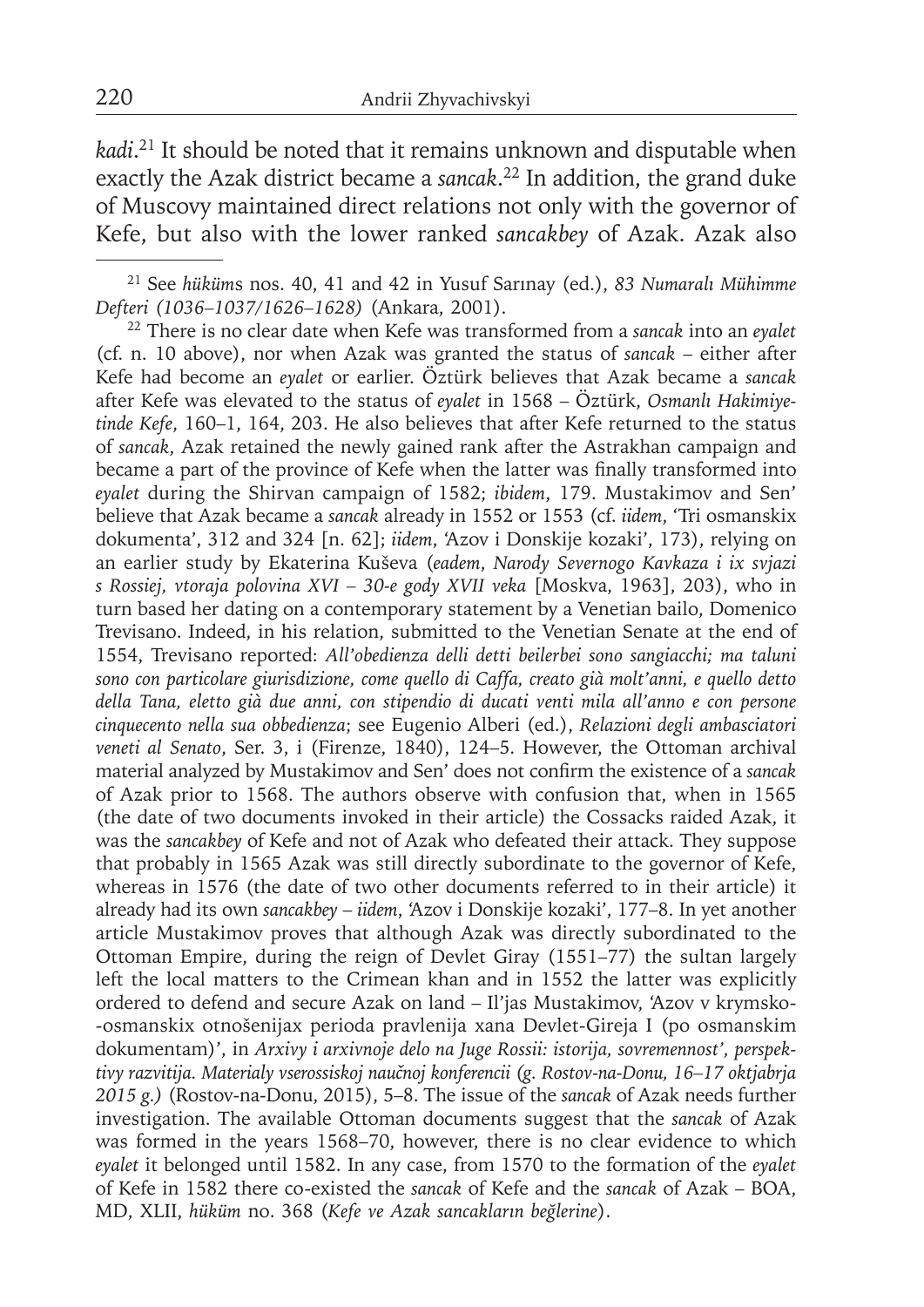*kadi*. 21 It should be noted that it remains unknown and disputable when exactly the Azak district became a *sancak*. 22 In addition, the grand duke of Muscovy maintained direct relations not only with the governor of Kefe, but also with the lower ranked *sancakbey* of Azak. Azak also

22 There is no clear date when Kefe was transformed from a *sancak* into an *eyalet* (cf. n. 10 above), nor when Azak was granted the status of *sancak* – either after Kefe had become an *eyalet* or earlier. Öztürk believes that Azak became a *sancak* after Kefe was elevated to the status of *eyalet* in 1568 – Öztürk, *Osmanlı Hakimiyetinde Kefe*, 160–1, 164, 203. He also believes that after Kefe returned to the status of *sancak*, Azak retained the newly gained rank after the Astrakhan campaign and became a part of the province of Kefe when the latter was finally transformed into *eyalet* during the Shirvan campaign of 1582; *ibidem*, 179. Mustakimov and Sen' believe that Azak became a *sancak* already in 1552 or 1553 (cf. *iidem*, 'Tri osmanskix dokumenta', 312 and 324 [n. 62]; *iidem*, 'Azov i Donskije kozaki', 173), relying on an earlier study by Ekaterina Kuševa (*eadem*, *Narody Severnogo Kavkaza i ix svjazi s Rossiej, vtoraja polovina XVI – 30-e gody XVII veka* [Moskva, 1963], 203), who in turn based her dating on a contemporary statement by a Venetian bailo, Domenico Trevisano. Indeed, in his relation, submitted to the Venetian Senate at the end of 1554, Trevisano reported: *All'obedienza delli detti beilerbei sono sangiacchi; ma taluni sono con particolare giurisdizione, come quello di Caffa, creato già molt'anni, e quello detto della Tana, eletto già due anni, con stipendio di ducati venti mila all'anno e con persone cinquecento nella sua obbedienza*; see Eugenio Alberi (ed.), *Relazioni degli ambasciatori veneti al Senato*, Ser. 3, i (Firenze, 1840), 124–5. However, the Ottoman archival material analyzed by Mustakimov and Sen' does not confirm the existence of a *sancak* of Azak prior to 1568. The authors observe with confusion that, when in 1565 (the date of two documents invoked in their article) the Cossacks raided Azak, it was the *sancakbey* of Kefe and not of Azak who defeated their attack. They suppose that probably in 1565 Azak was still directly subordinate to the governor of Kefe, whereas in 1576 (the date of two other documents referred to in their article) it already had its own *sancakbey* – *iidem*, 'Azov i Donskije kozaki', 177–8. In yet another article Mustakimov proves that although Azak was directly subordinated to the Ottoman Empire, during the reign of Devlet Giray (1551–77) the sultan largely left the local matters to the Crimean khan and in 1552 the latter was explicitly ordered to defend and secure Azak on land - Il'jas Mustakimov, 'Azov v krymsko--osmanskix otnošenijax perioda pravlenija xana Devlet-Gireja I (po osmanskim dokumentam)', in *Arxivy i arxivnoje delo na Juge Rossii: istorija, sovremennost', perspektivy razvitija. Materialy vserossiskoj naučnoj konferencii (g. Rostov-na-Donu, 16–17 oktjabrja 2015 g.)* (Rostov-na-Donu, 2015), 5–8. The issue of the *sancak* of Azak needs further investigation. The available Ottoman documents suggest that the *sancak* of Azak was formed in the years 1568–70, however, there is no clear evidence to which *eyalet* it belonged until 1582. In any case, from 1570 to the formation of the *eyalet* of Kefe in 1582 there co-existed the *sancak* of Kefe and the *sancak* of Azak – BOA, MD, XLII, *hüküm* no. 368 (*Kefe ve Azak sancakların beğlerine*).

<sup>21</sup> See *hüküm*s nos. 40, 41 and 42 in Yusuf Sarınay (ed.), *83 Numaralı Mühimme Defteri (1036–1037/1626–1628)* (Ankara, 2001).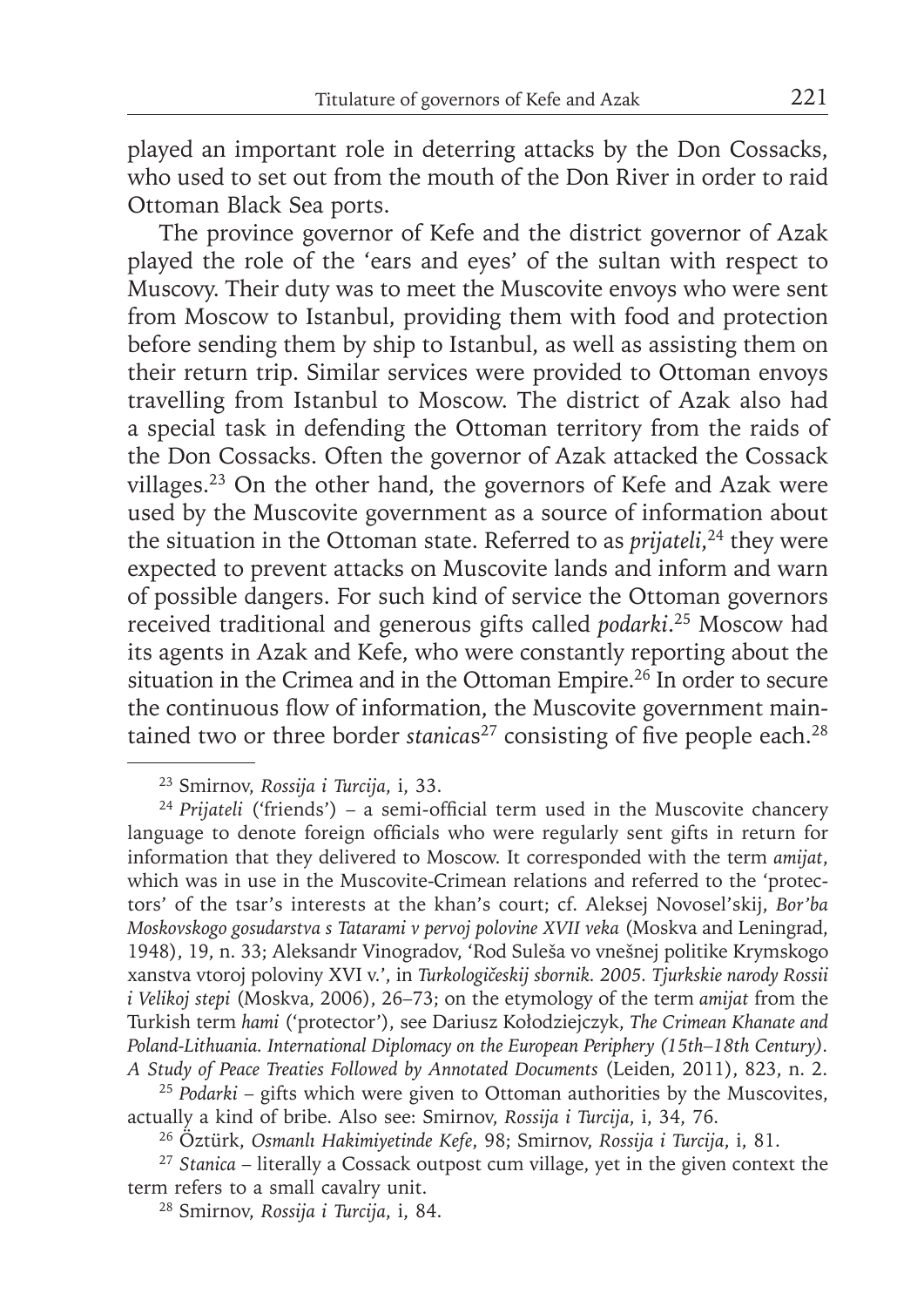played an important role in deterring attacks by the Don Cossacks, who used to set out from the mouth of the Don River in order to raid Ottoman Black Sea ports.

The province governor of Kefe and the district governor of Azak played the role of the 'ears and eyes' of the sultan with respect to Muscovy. Their duty was to meet the Muscovite envoys who were sent from Moscow to Istanbul, providing them with food and protection before sending them by ship to Istanbul, as well as assisting them on their return trip. Similar services were provided to Ottoman envoys travelling from Istanbul to Moscow. The district of Azak also had a special task in defending the Ottoman territory from the raids of the Don Cossacks. Often the governor of Azak attacked the Cossack villages.23 On the other hand, the governors of Kefe and Azak were used by the Muscovite government as a source of information about the situation in the Ottoman state. Referred to as *prijateli*, 24 they were expected to prevent attacks on Muscovite lands and inform and warn of possible dangers. For such kind of service the Ottoman governors received traditional and generous gifts called *podarki*. 25 Moscow had its agents in Azak and Kefe, who were constantly reporting about the situation in the Crimea and in the Ottoman Empire.26 In order to secure the continuous flow of information, the Muscovite government maintained two or three border *stanicas<sup>27</sup>* consisting of five people each.<sup>28</sup>

<sup>23</sup> Smirnov, *Rossija i Turcija*, i, 33.

<sup>&</sup>lt;sup>24</sup> Prijateli<sup> ('friends') – a semi-official term used in the Muscovite chancery</sup> language to denote foreign officials who were regularly sent gifts in return for information that they delivered to Moscow. It corresponded with the term *amijat*, which was in use in the Muscovite-Crimean relations and referred to the 'protectors' of the tsar's interests at the khan's court; cf. Aleksej Novosel'skij, *Bor'ba Moskovskogo gosudarstva s Tatarami v pervoj polovine XVII veka* (Moskva and Leningrad, 1948), 19, n. 33; Aleksandr Vinogradov, 'Rod Suleša vo vnešnej politike Krymskogo xanstva vtoroj poloviny XVI v.', in *Turkologičeskij sbornik. 2005. Tjurkskie narody Rossii i Velikoj stepi* (Moskva, 2006), 26–73; on the etymology of the term *amijat* from the Turkish term *hami* ('protector'), see Dariusz Kołodziejczyk, *The Crimean Khanate and Poland-Lithuania. International Diplomacy on the European Periphery (15th–18th Century). A Study of Peace Treaties Followed by Annotated Documents* (Leiden, 2011), 823, n. 2.

<sup>&</sup>lt;sup>25</sup> Podarki – gifts which were given to Ottoman authorities by the Muscovites, actually a kind of bribe. Also see: Smirnov, *Rossija i Turcija*, i, 34, 76.

<sup>26</sup> Öztürk, *Osmanlı Hakimiyetinde Kefe*, 98; Smirnov, *Rossija i Turcija*, i, 81.

<sup>27</sup>*Stanica* – literally a Cossack outpost cum village, yet in the given context the term refers to a small cavalry unit.

<sup>28</sup> Smirnov, *Rossija i Turcija*, i, 84.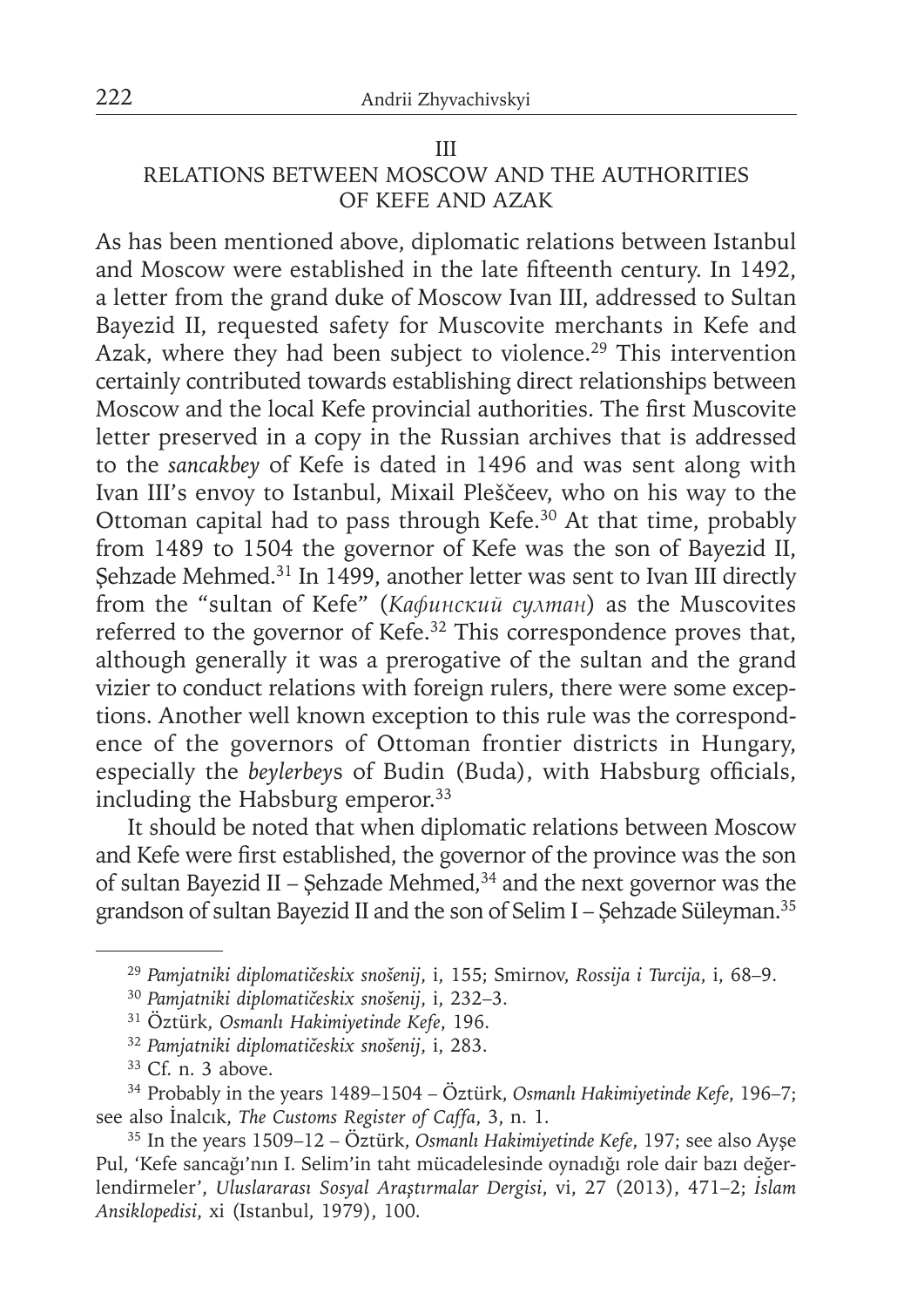#### III

# RELATIONS BETWEEN MOSCOW AND THE AUTHORITIES OF KEFE AND AZAK

As has been mentioned above, diplomatic relations between Istanbul and Moscow were established in the late fifteenth century. In 1492, a letter from the grand duke of Moscow Ivan III, addressed to Sultan Bayezid II, requested safety for Muscovite merchants in Kefe and Azak, where they had been subject to violence.<sup>29</sup> This intervention certainly contributed towards establishing direct relationships between Moscow and the local Kefe provincial authorities. The first Muscovite letter preserved in a copy in the Russian archives that is addressed to the *sancakbey* of Kefe is dated in 1496 and was sent along with Ivan III's envoy to Istanbul, Mixail Pleščeev, who on his way to the Ottoman capital had to pass through Kefe.30 At that time, probably from 1489 to 1504 the governor of Kefe was the son of Bayezid II, Sehzade Mehmed.<sup>31</sup> In 1499, another letter was sent to Ivan III directly from the "sultan of Kefe" (*Кафинский султан*) as the Muscovites referred to the governor of Kefe.32 This correspondence proves that, although generally it was a prerogative of the sultan and the grand vizier to conduct relations with foreign rulers, there were some exceptions. Another well known exception to this rule was the correspondence of the governors of Ottoman frontier districts in Hungary, especially the *beylerbeys* of Budin (Buda), with Habsburg officials, including the Habsburg emperor.<sup>33</sup>

It should be noted that when diplomatic relations between Moscow and Kefe were first established, the governor of the province was the son of sultan Bayezid II – Şehzade Mehmed, $34$  and the next governor was the grandson of sultan Bayezid II and the son of Selim I – Şehzade Süleyman.35

<sup>32</sup>*Pamjatniki diplomatičeskix snošenij*, i, 283.

<sup>29</sup>*Pamjatniki diplomatičeskix snošenij*, i, 155; Smirnov, *Rossija i Turcija*, i, 68–9.

<sup>30</sup>*Pamjatniki diplomatičeskix snošenij*, i, 232–3.

<sup>31</sup> Öztürk, *Osmanlı Hakimiyetinde Kefe*, 196.

<sup>33</sup> Cf. n. 3 above.

<sup>34</sup> Probably in the years 1489–1504 – Öztürk, *Osmanlı Hakimiyetinde Kefe*, 196–7; see also İnalcık, *The Customs Register of Caffa*, 3, n. 1.

<sup>35</sup> In the years 1509–12 – Öztürk, *Osmanlı Hakimiyetinde Kefe*, 197; see also Ayşe Pul, 'Kefe sancağı'nın I. Selim'in taht mücadelesinde oynadığı role dair bazı değerlendirmeler', *Uluslararası Sosyal Araştırmalar Dergisi*, vi, 27 (2013), 471–2; *İslam Ansiklopedisi*, xi (Istanbul, 1979), 100.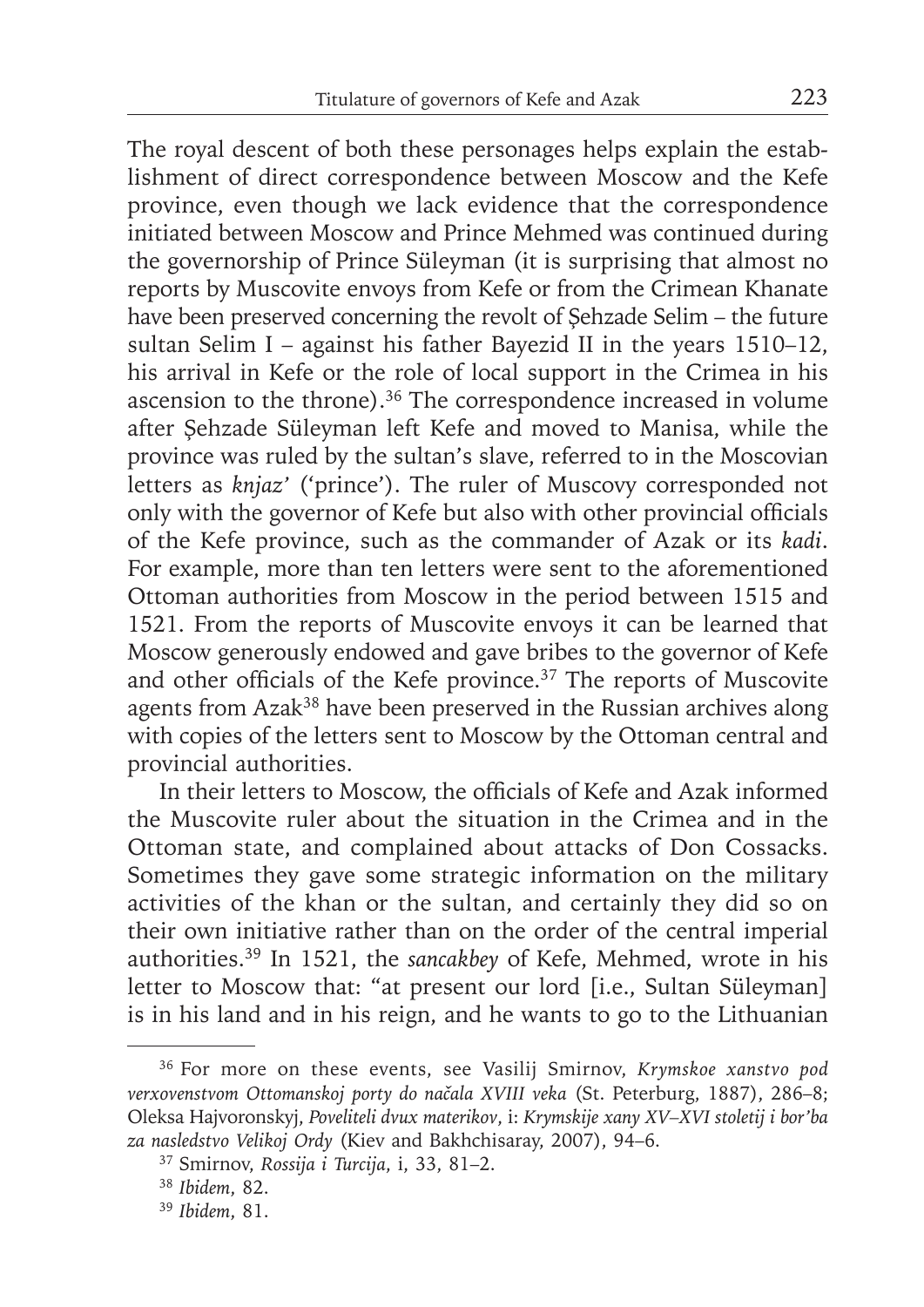The royal descent of both these personages helps explain the establishment of direct correspondence between Moscow and the Kefe province, even though we lack evidence that the correspondence initiated between Moscow and Prince Mehmed was continued during the governorship of Prince Süleyman (it is surprising that almost no reports by Muscovite envoys from Kefe or from the Crimean Khanate have been preserved concerning the revolt of Şehzade Selim – the future sultan Selim I – against his father Bayezid II in the years 1510–12, his arrival in Kefe or the role of local support in the Crimea in his ascension to the throne).36 The correspondence increased in volume after Şehzade Süleyman left Kefe and moved to Manisa, while the province was ruled by the sultan's slave, referred to in the Moscovian letters as *knjaz'* ('prince'). The ruler of Muscovy corresponded not only with the governor of Kefe but also with other provincial officials of the Kefe province, such as the commander of Azak or its *kadi*. For example, more than ten letters were sent to the aforementioned Ottoman authorities from Moscow in the period between 1515 and 1521. From the reports of Muscovite envoys it can be learned that Moscow generously endowed and gave bribes to the governor of Kefe and other officials of the Kefe province.<sup>37</sup> The reports of Muscovite agents from Azak<sup>38</sup> have been preserved in the Russian archives along with copies of the letters sent to Moscow by the Ottoman central and provincial authorities.

In their letters to Moscow, the officials of Kefe and Azak informed the Muscovite ruler about the situation in the Crimea and in the Ottoman state, and complained about attacks of Don Cossacks. Sometimes they gave some strategic information on the military activities of the khan or the sultan, and certainly they did so on their own initiative rather than on the order of the central imperial authorities.39 In 1521, the *sancakbey* of Kefe, Mehmed, wrote in his letter to Moscow that: "at present our lord [i.e., Sultan Süleyman] is in his land and in his reign, and he wants to go to the Lithuanian

<sup>36</sup> For more on these events, see Vasilij Smirnov, *Krymskoe xanstvo pod verxovenstvom Ottomanskoj porty do načala XVIII veka* (St. Peterburg, 1887), 286–8; Oleksa Hajvoronskyj, *Poveliteli dvux materikov*, i: *Krymskije xany XV–XVI stoletij i bor'ba za nasledstvo Velikoj Ordy* (Kiev and Bakhchisaray, 2007), 94–6.

<sup>37</sup> Smirnov, *Rossija i Turcija*, i, 33, 81–2.

<sup>38</sup>*Ibidem*, 82.

<sup>39</sup> *Ibidem*, 81.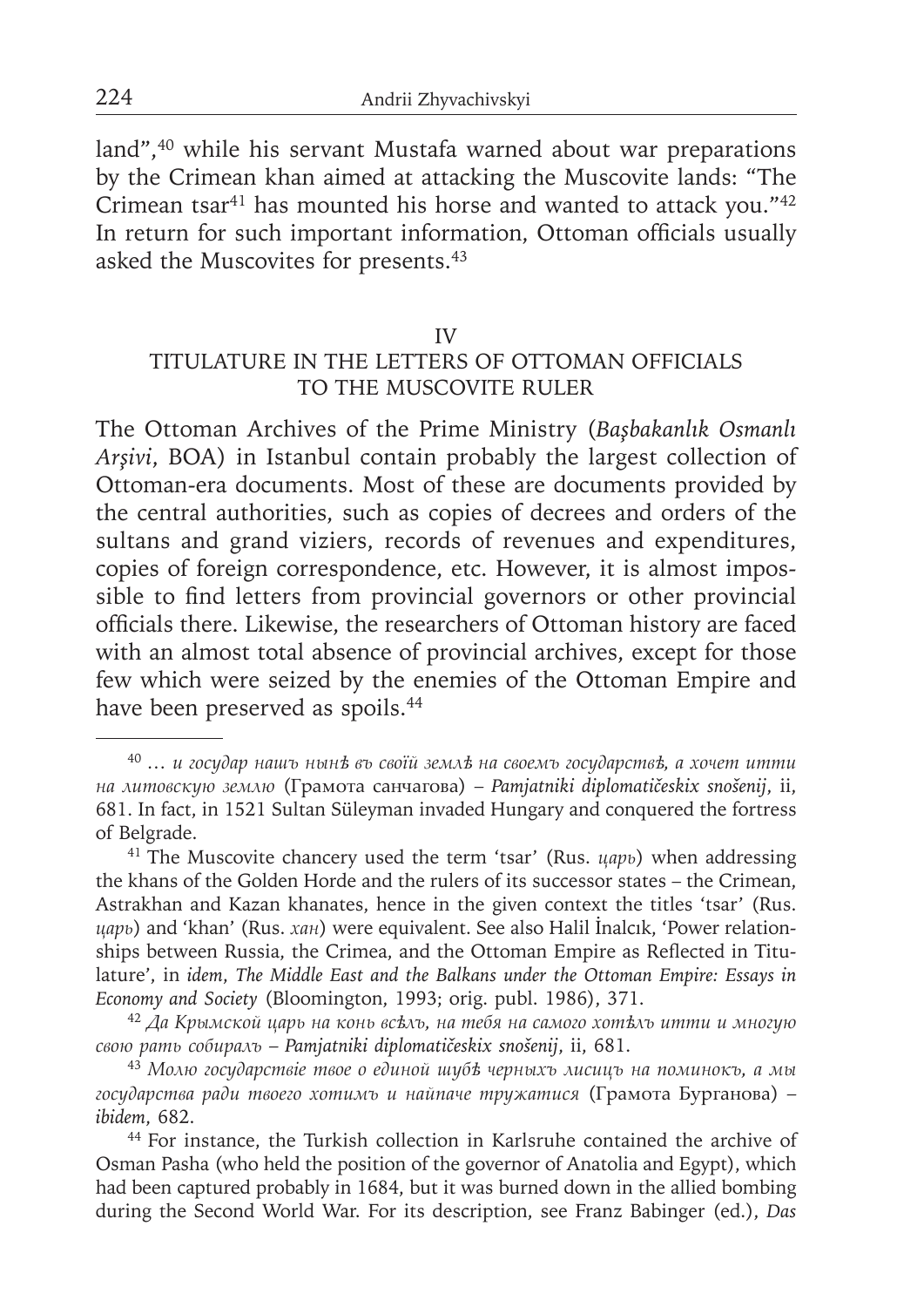land",<sup>40</sup> while his servant Mustafa warned about war preparations by the Crimean khan aimed at attacking the Muscovite lands: "The Crimean tsar<sup>41</sup> has mounted his horse and wanted to attack you."<sup>42</sup> In return for such important information, Ottoman officials usually asked the Muscovites for presents.43

#### IV

# TITULATURE IN THE LETTERS OF OTTOMAN OFFICIALS TO THE MUSCOVITE RULER

The Ottoman Archives of the Prime Ministry (*Başbakanlık Osmanlı Arşivi*, BOA) in Istanbul contain probably the largest collection of Ottoman-era documents. Most of these are documents provided by the central authorities, such as copies of decrees and orders of the sultans and grand viziers, records of revenues and expenditures, copies of foreign correspondence, etc. However, it is almost impossible to find letters from provincial governors or other provincial officials there. Likewise, the researchers of Ottoman history are faced with an almost total absence of provincial archives, except for those few which were seized by the enemies of the Ottoman Empire and have been preserved as spoils.<sup>44</sup>

<sup>40</sup>*… и государ нашъ нынѣ въ своїй землѣ на своемъ государствѣ, а хочет итти на литовскую землю* (Грамота санчагова) – *Pamjatniki diplomatičeskix snošenij*, ii, 681. In fact, in 1521 Sultan Süleyman invaded Hungary and conquered the fortress of Belgrade.

<sup>41</sup> The Muscovite chancery used the term 'tsar' (Rus. *царь*) when addressing the khans of the Golden Horde and the rulers of its successor states – the Crimean, Astrakhan and Kazan khanates, hence in the given context the titles 'tsar' (Rus. *царь*) and 'khan' (Rus. *хан*) were equivalent. See also Halil İnalcık, 'Power relationships between Russia, the Crimea, and the Ottoman Empire as Reflected in Titulature', in *idem*, *The Middle East and the Balkans under the Ottoman Empire: Essays in Economy and Society* (Bloomington, 1993; orig. publ. 1986), 371.

<sup>42</sup>*Да Крымской царь на конь всѣлъ, на тебя на самого хотѣлъ итти и многую свою рать собиралъ* – *Pamjatniki diplomatičeskix snošenij*, ii, 681.

<sup>43</sup>*Молю государствіе твое о единой шубѣ черныхъ лисицъ на поминокъ, а мы государства ради твоего хотимъ и найпаче тружатися* (Грамота Бурганова) – *ibidem*, 682.

<sup>44</sup> For instance, the Turkish collection in Karlsruhe contained the archive of Osman Pasha (who held the position of the governor of Anatolia and Egypt), which had been captured probably in 1684, but it was burned down in the allied bombing during the Second World War. For its description, see Franz Babinger (ed.), *Das*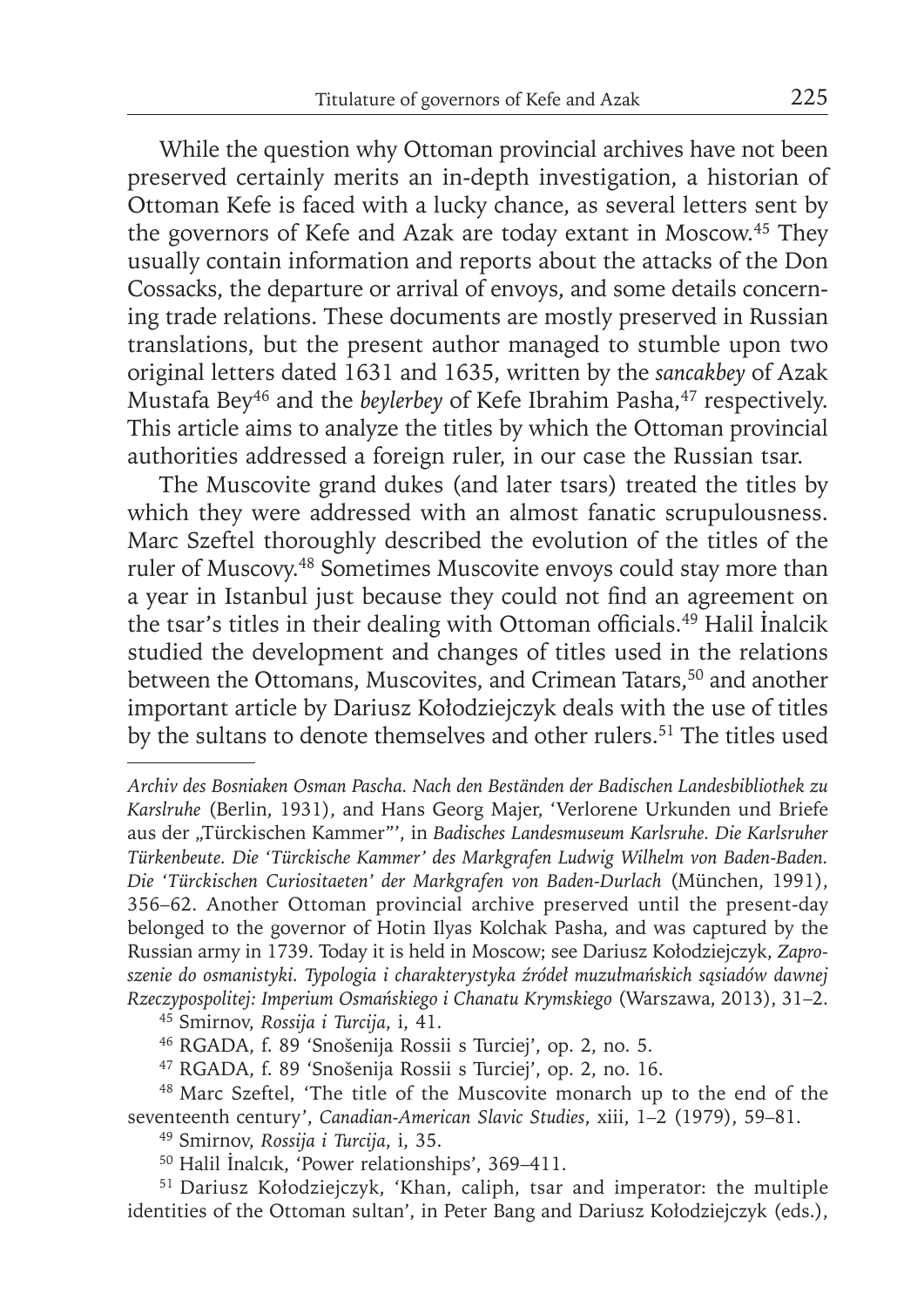While the question why Ottoman provincial archives have not been preserved certainly merits an in-depth investigation, a historian of Ottoman Kefe is faced with a lucky chance, as several letters sent by the governors of Kefe and Azak are today extant in Moscow.45 They usually contain information and reports about the attacks of the Don Cossacks, the departure or arrival of envoys, and some details concerning trade relations. These documents are mostly preserved in Russian translations, but the present author managed to stumble upon two original letters dated 1631 and 1635, written by the *sancakbey* of Azak Mustafa Bey<sup>46</sup> and the *beylerbey* of Kefe Ibrahim Pasha,<sup>47</sup> respectively. This article aims to analyze the titles by which the Ottoman provincial authorities addressed a foreign ruler, in our case the Russian tsar.

The Muscovite grand dukes (and later tsars) treated the titles by which they were addressed with an almost fanatic scrupulousness. Marc Szeftel thoroughly described the evolution of the titles of the ruler of Muscovy.48 Sometimes Muscovite envoys could stay more than a year in Istanbul just because they could not find an agreement on the tsar's titles in their dealing with Ottoman officials.<sup>49</sup> Halil Inalcik studied the development and changes of titles used in the relations between the Ottomans, Muscovites, and Crimean Tatars,<sup>50</sup> and another important article by Dariusz Kołodziejczyk deals with the use of titles by the sultans to denote themselves and other rulers.<sup>51</sup> The titles used

45 Smirnov, *Rossija i Turcija*, i, 41.

- 46 RGADA, f. 89 'Snošenija Rossii s Turciej', op. 2, no. 5.
- 47 RGADA, f. 89 'Snošenija Rossii s Turciej', op. 2, no. 16.
- 48 Marc Szeftel, 'The title of the Muscovite monarch up to the end of the seventeenth century', *Canadian-American Slavic Studies*, xiii, 1–2 (1979), 59–81.

49 Smirnov, *Rossija i Turcija*, i, 35.

50 Halil İnalcık, 'Power relationships', 369–411.

51 Dariusz Kołodziejczyk, 'Khan, caliph, tsar and imperator: the multiple identities of the Ottoman sultan', in Peter Bang and Dariusz Kołodziejczyk (eds.),

*Archiv des Bosniaken Osman Pascha. Nach den Beständen der Badischen Landesbibliothek zu Karslruhe* (Berlin, 1931), and Hans Georg Majer, 'Verlorene Urkunden und Briefe aus der "Türckischen Kammer"', in *Badisches Landesmuseum Karlsruhe. Die Karlsruher Türkenbeute. Die 'Türckische Kammer' des Markgrafen Ludwig Wilhelm von Baden-Baden. Die 'Türckischen Curiositaeten' der Markgrafen von Baden-Durlach* (München, 1991), 356–62. Another Ottoman provincial archive preserved until the present-day belonged to the governor of Hotin Ilyas Kolchak Pasha, and was captured by the Russian army in 1739. Today it is held in Moscow; see Dariusz Kołodziejczyk, *Zaproszenie do osmanistyki. Typologia i charakterystyka źródeł muzułmańskich sąsiadów dawnej Rzeczypospolitej: Imperium Osmańskiego i Chanatu Krymskiego* (Warszawa, 2013), 31–2.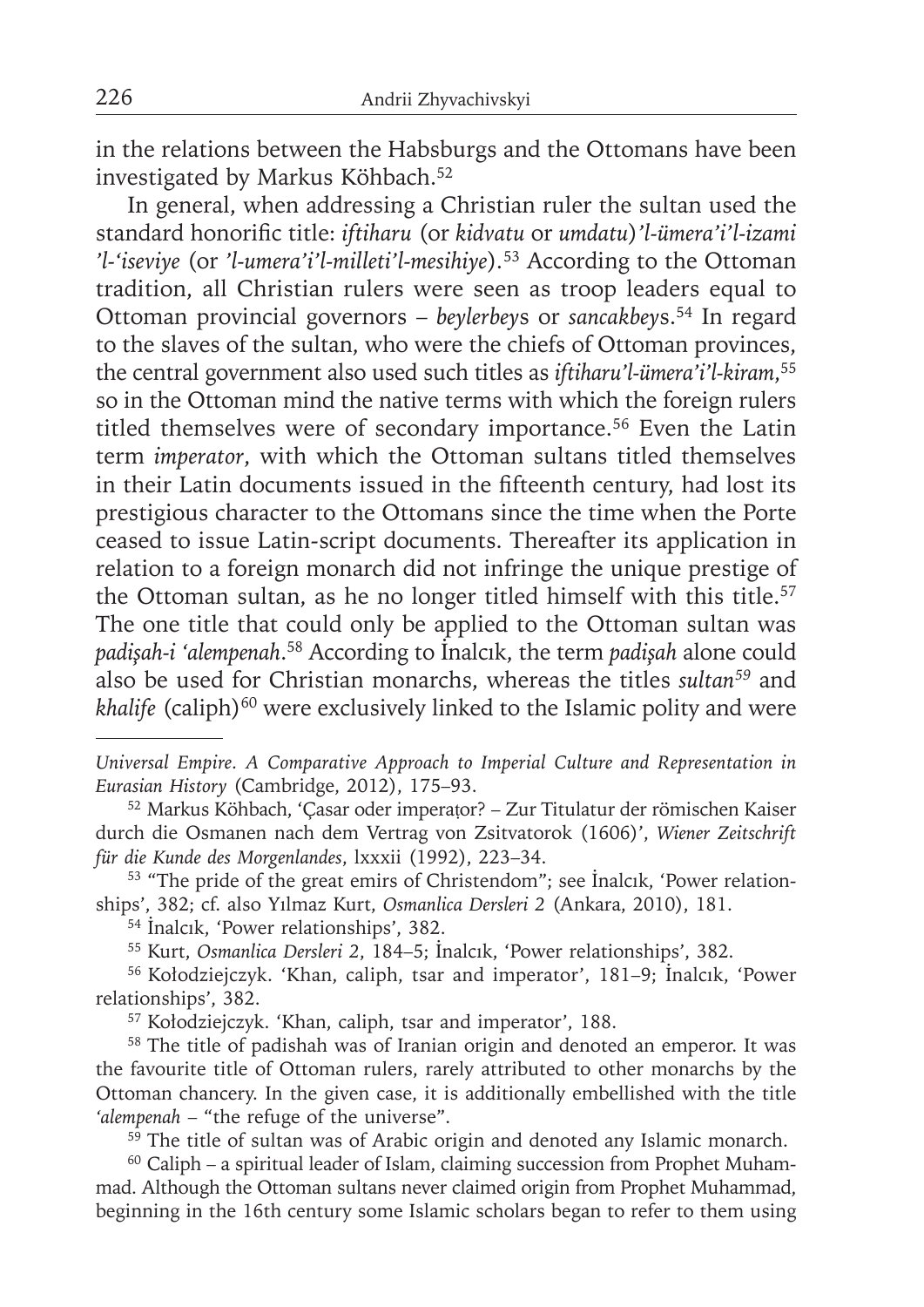in the relations between the Habsburgs and the Ottomans have been investigated by Markus Köhbach.<sup>52</sup>

In general, when addressing a Christian ruler the sultan used the standard honorific title: *iftiharu* (or kidvatu or umdatu)'l-ümera'i'l-izami *'l-'iseviye* (or *'l-umera'i'l-milleti'l-mesihiye*)*.* 53 According to the Ottoman tradition, all Christian rulers were seen as troop leaders equal to Ottoman provincial governors – *beylerbey*s or *sancakbey*s.54 In regard to the slaves of the sultan, who were the chiefs of Ottoman provinces, the central government also used such titles as *iftiharu'l-ümera'i'l-kiram*, 55 so in the Ottoman mind the native terms with which the foreign rulers titled themselves were of secondary importance.<sup>56</sup> Even the Latin term *imperator*, with which the Ottoman sultans titled themselves in their Latin documents issued in the fifteenth century, had lost its prestigious character to the Ottomans since the time when the Porte ceased to issue Latin-script documents. Thereafter its application in relation to a foreign monarch did not infringe the unique prestige of the Ottoman sultan, as he no longer titled himself with this title.<sup>57</sup> The one title that could only be applied to the Ottoman sultan was *padişah-i 'alempenah*. 58 According to İnalcık, the term *padişah* alone could also be used for Christian monarchs, whereas the titles *sultan59* and *khalife* (caliph)<sup>60</sup> were exclusively linked to the Islamic polity and were

*Universal Empire. A Comparative Approach to Imperial Culture and Representation in Eurasian History* (Cambridge, 2012), 175–93.

52 Markus Köhbach, 'Çasar oder imperaṭor? – Zur Titulatur der römischen Kaiser durch die Osmanen nach dem Vertrag von Zsitvatorok (1606)', *Wiener Zeitschrift für die Kunde des Morgenlandes*, lxxxii (1992), 223–34.

53 "The pride of the great emirs of Christendom"; see İnalcık, 'Power relationships', 382; cf. also Yılmaz Kurt, *Osmanlica Dersleri 2* (Ankara, 2010), 181.

<sup>54</sup>İnalcık, 'Power relationships', 382.

55 Kurt, *Osmanlica Dersleri 2*, 184–5; İnalcık, 'Power relationships', 382.

56 Kołodziejczyk. 'Khan, caliph, tsar and imperator', 181–9; İnalcık, 'Power relationships', 382.

57 Kołodziejczyk. 'Khan, caliph, tsar and imperator', 188.

58 The title of padishah was of Iranian origin and denoted an emperor. It was the favourite title of Ottoman rulers, rarely attributed to other monarchs by the Ottoman chancery. In the given case, it is additionally embellished with the title *'alempenah* – "the refuge of the universe".

<sup>59</sup> The title of sultan was of Arabic origin and denoted any Islamic monarch.

 $60$  Caliph – a spiritual leader of Islam, claiming succession from Prophet Muhammad. Although the Ottoman sultans never claimed origin from Prophet Muhammad, beginning in the 16th century some Islamic scholars began to refer to them using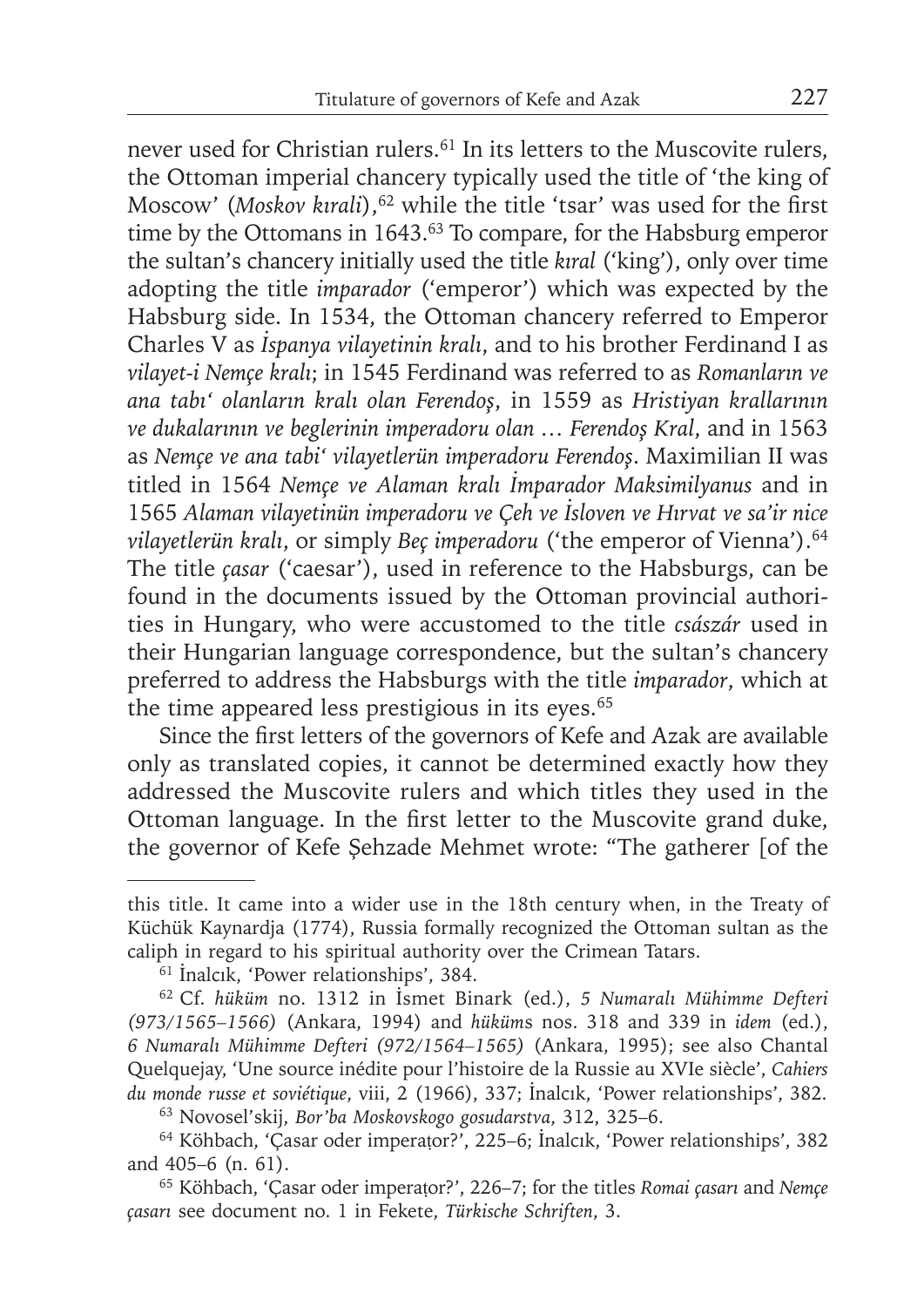never used for Christian rulers.<sup>61</sup> In its letters to the Muscovite rulers, the Ottoman imperial chancery typically used the title of 'the king of Moscow' (Moskov kırali),<sup>62</sup> while the title 'tsar' was used for the first time by the Ottomans in 1643.<sup>63</sup> To compare, for the Habsburg emperor the sultan's chancery initially used the title *kıral* ('king'), only over time adopting the title *imparador* ('emperor') which was expected by the Habsburg side. In 1534, the Ottoman chancery referred to Emperor Charles V as *İspanya vilayetinin kralı*, and to his brother Ferdinand I as *vilayet-i Nemçe kralı*; in 1545 Ferdinand was referred to as *Romanların ve ana tabı' olanların kralı olan Ferendoş*, in 1559 as *Hristiyan krallarının ve dukalarının ve beglerinin imperadoru olan … Ferendoş Kral*, and in 1563 as *Nemçe ve ana tabi' vilayetlerün imperadoru Ferendoş*. Maximilian II was titled in 1564 *Nemçe ve Alaman kralı İmparador Maksimilyanus* and in 1565 *Alaman vilayetinün imperadoru ve Çeh ve İsloven ve Hırvat ve sa'ir niсe vilayetlerün kralı*, or simply *Beç imperadoru* ('the emperor of Vienna').64 The title *çasar* ('caesar'), used in reference to the Habsburgs, can be found in the documents issued by the Ottoman provincial authorities in Hungary, who were accustomed to the title *császár* used in their Hungarian language correspondence, but the sultan's chancery preferred to address the Habsburgs with the title *imparador*, which at the time appeared less prestigious in its eyes.<sup>65</sup>

Since the first letters of the governors of Kefe and Azak are available only as translated copies, it cannot be determined exactly how they addressed the Muscovite rulers and which titles they used in the Ottoman language. In the first letter to the Muscovite grand duke, the governor of Kefe Şehzade Mehmet wrote: "The gatherer [of the

this title. It came into a wider use in the 18th century when, in the Treaty of Küchük Kaynardja (1774), Russia formally recognized the Ottoman sultan as the caliph in regard to his spiritual authority over the Crimean Tatars.

<sup>&</sup>lt;sup>61</sup> İnalcık, 'Power relationships', 384.

<sup>62</sup> Cf. *hüküm* no. 1312 in İsmet Binark (ed.), *5 Numaralı Mühimme Defteri (973/1565–1566)* (Ankara, 1994) and *hüküm*s nos. 318 and 339 in *idem* (ed.), *6 Numaralı Mühimme Defteri (972/1564–1565)* (Ankara, 1995); see also Chantal Quelquejay, 'Une source inédite pour l'histoire de la Russie au XVIe siècle', *Cahiers du monde russe et soviétique*, viii, 2 (1966), 337; İnalcık, 'Power relationships', 382.

<sup>63</sup> Novosel'skij, *Bor'ba Moskovskogo gosudarstva*, 312, 325–6.

<sup>64</sup> Köhbach, 'Çasar oder imperaṭor?', 225–6; İnalcık, 'Power relationships', 382 and 405–6 (n. 61).

<sup>65</sup> Köhbach, 'Çasar oder imperaṭor?', 226–7; for the titles *Romai çasarı* and *Nemçe çasarı* see document no. 1 in Fekete, *Türkische Schriften*, 3.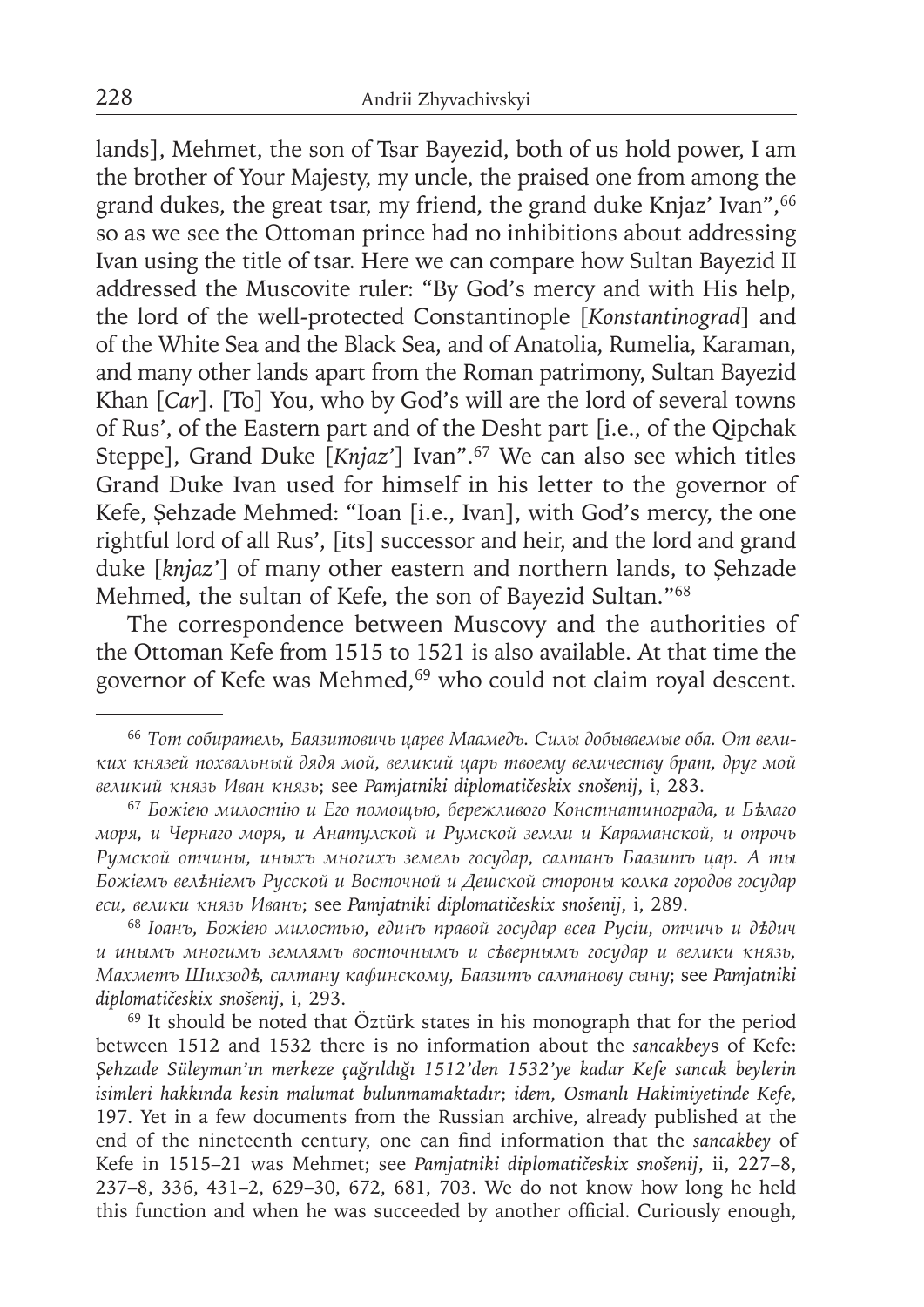lands], Mehmet, the son of Tsar Bayezid, both of us hold power, I am the brother of Your Majesty, my uncle, the praised one from among the grand dukes, the great tsar, my friend, the grand duke Knjaz' Ivan", 66 so as we see the Ottoman prince had no inhibitions about addressing Ivan using the title of tsar. Here we can compare how Sultan Bayezid II addressed the Muscovite ruler: "By God's mercy and with His help, the lord of the well-protected Constantinople [*Konstantinograd*] and of the White Sea and the Black Sea, and of Anatolia, Rumelia, Karaman, and many other lands apart from the Roman patrimony, Sultan Bayezid Khan [*Car*]. [To] You, who by God's will are the lord of several towns of Rus', of the Eastern part and of the Desht part [i.e., of the Qipchak Steppe], Grand Duke [Knjaz'] Ivan".<sup>67</sup> We can also see which titles Grand Duke Ivan used for himself in his letter to the governor of Kefe, Şehzade Mehmed: "Ioan [i.e., Ivan], with God's mercy, the one rightful lord of all Rus', [its] successor and heir, and the lord and grand duke [*knjaz'*] of many other eastern and northern lands, to Şehzade Mehmed, the sultan of Kefe, the son of Bayezid Sultan."68

The correspondence between Muscovy and the authorities of the Ottoman Kefe from 1515 to 1521 is also available. At that time the governor of Kefe was Mehmed,<sup>69</sup> who could not claim royal descent.

<sup>66</sup>*Тот собиратель, Баязитовичь царев Маамедъ. Силы добываемые оба. От великих князей похвальный дядя мой, великий царь твоему величеству брат, друг мой великий князь Иван князь*; see *Pamjatniki diplomatičeskix snošenij*, i, 283.

<sup>67</sup>*Божіею милостію и Его помощью, бережливого Констнатинограда, и Бѣлаго моря, и Чернаго моря, и Анатулской и Румской земли и Караманской, и опрочь Румской отчины, иныхъ многихъ земель государ, салтанъ Баазитъ цар. А ты Божіемъ велѣніемъ Русской и Восточной и Дешской стороны колка городов государ еси, велики князь Иванъ*; see *Pamjatniki diplomatičeskix snošenij*, i, 289.

<sup>68</sup>*Іоанъ, Божіею милостью, единъ правой государ всеа Русіи, отчичь и дѣдич и инымъ многимъ землямъ восточнымъ и сѣвернымъ государ и велики князь, Махметъ Шихзодѣ, салтану кафинскому, Баазитъ салтанову сыну*; see *Pamjatniki diplomatičeskix snošenij*, i, 293.

<sup>&</sup>lt;sup>69</sup> It should be noted that Öztürk states in his monograph that for the period between 1512 and 1532 there is no information about the *sancakbey*s of Kefe: *Şehzade Süleyman'ın merkeze çağrıldığı 1512'den 1532'ye kadar Kefe sancak beylerin isimleri hakkında kesin malumat bulunmamaktadır*; *idem*, *Osmanlı Hakimiyetinde Kefe*, 197. Yet in a few documents from the Russian archive, already published at the end of the nineteenth century, one can find information that the *sancakbey* of Kefe in 1515–21 was Mehmet; see *Pamjatniki diplomatičeskix snošenij*, ii, 227–8, 237–8, 336, 431–2, 629–30, 672, 681, 703. We do not know how long he held this function and when he was succeeded by another official. Curiously enough,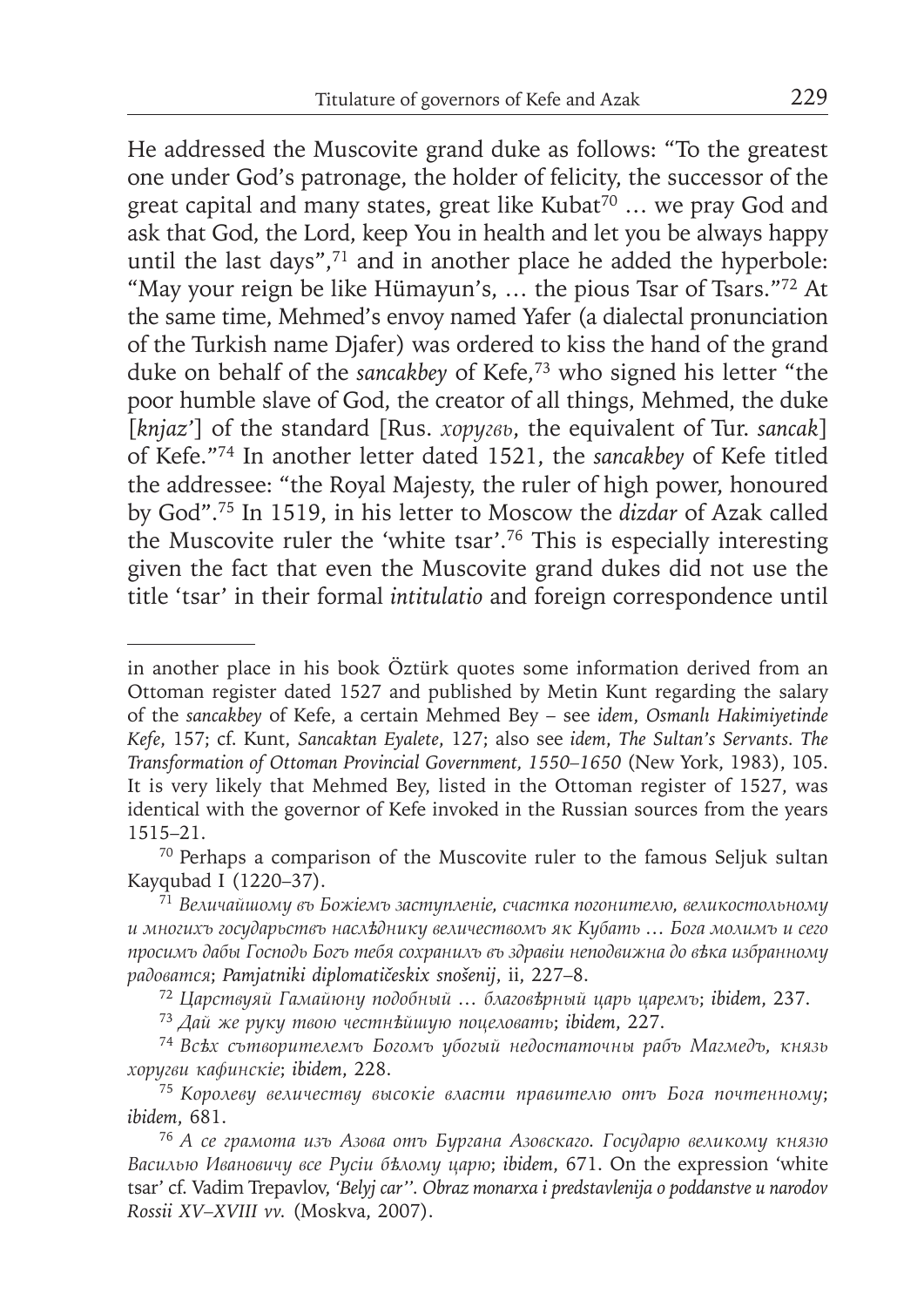He addressed the Muscovite grand duke as follows: "To the greatest one under God's patronage, the holder of felicity, the successor of the great capital and many states, great like Kubat<sup>70</sup> ... we pray God and ask that God, the Lord, keep You in health and let you be always happy until the last days",<sup>71</sup> and in another place he added the hyperbole: "May your reign be like Hümayun's, ... the pious Tsar of Tsars."72 At the same time, Mehmed's envoy named Yafer (a dialectal pronunciation of the Turkish name Djafer) was ordered to kiss the hand of the grand duke on behalf of the *sancakbey* of Kefe,73 who signed his letter "the poor humble slave of God, the creator of all things, Mehmed, the duke [*knjaz'*] of the standard [Rus. *хоругвь*, the equivalent of Tur. *sancak*] of Kefe."74 In another letter dated 1521, the *sancakbey* of Kefe titled the addressee: "the Royal Majesty, the ruler of high power, honoured by God".75 In 1519, in his letter to Moscow the *dizdar* of Azak called the Muscovite ruler the 'white tsar'.76 This is especially interesting given the fact that even the Muscovite grand dukes did not use the title 'tsar' in their formal *intitulatio* and foreign correspondence until

in another place in his book Öztürk quotes some information derived from an Ottoman register dated 1527 and published by Metin Kunt regarding the salary of the *sancakbey* of Kefe, a certain Mehmed Bey – see *idem*, *Osmanlı Hakimiyetinde Kefe*, 157; cf. Kunt, *Sancaktan Eyalete*, 127; also see *idem*, *The Sultan's Servants. The Transformation of Ottoman Provincial Government, 1550–1650* (New York, 1983), 105. It is very likely that Mehmed Bey, listed in the Ottoman register of 1527, was identical with the governor of Kefe invoked in the Russian sources from the years 1515–21.

<sup>&</sup>lt;sup>70</sup> Perhaps a comparison of the Muscovite ruler to the famous Seljuk sultan Kayqubad I (1220–37).

<sup>71</sup>*Величайшому въ Божіемъ заступленіе, счастка погонителю, великостольному и многихъ государьствъ наслѣднику величествомъ як Кубать … Бога молимъ и сего просимъ дабы Господь Богъ тебя сохранилъ въ здравіи неподвижна до вѣка избранному радоватся*; *Pamjatniki diplomatičeskix snošenij*, ii, 227–8.

<sup>72</sup>*Царствуяй Гамайюну подобный … благовѣрный царь царемъ*; *ibidem*, 237.

<sup>73</sup>*Дай же руку твою честнѣйшую поцеловать*; *ibidem*, 227.

<sup>74</sup>*Всѣх сътворителемъ Богомъ убогый недостаточны рабъ Магмедъ, князь хоругви кафинскіе*; *ibidem*, 228.

<sup>75</sup>*Королеву величеству высокіе власти правителю отъ Бога почтенному*; *ibidem*, 681.

<sup>76</sup>*А се грамота изъ Азова отъ Бургана Азовскаго. Государю великому князю Василью Ивановичу все Русіи бѣлому царю*; *ibidem*, 671. On the expression 'white tsar' cf. Vadim Trepavlov, *'Belyj car''. Obraz monarxa i predstavlenija o poddanstve u narodov Rossii XV–XVIII vv.* (Moskva, 2007).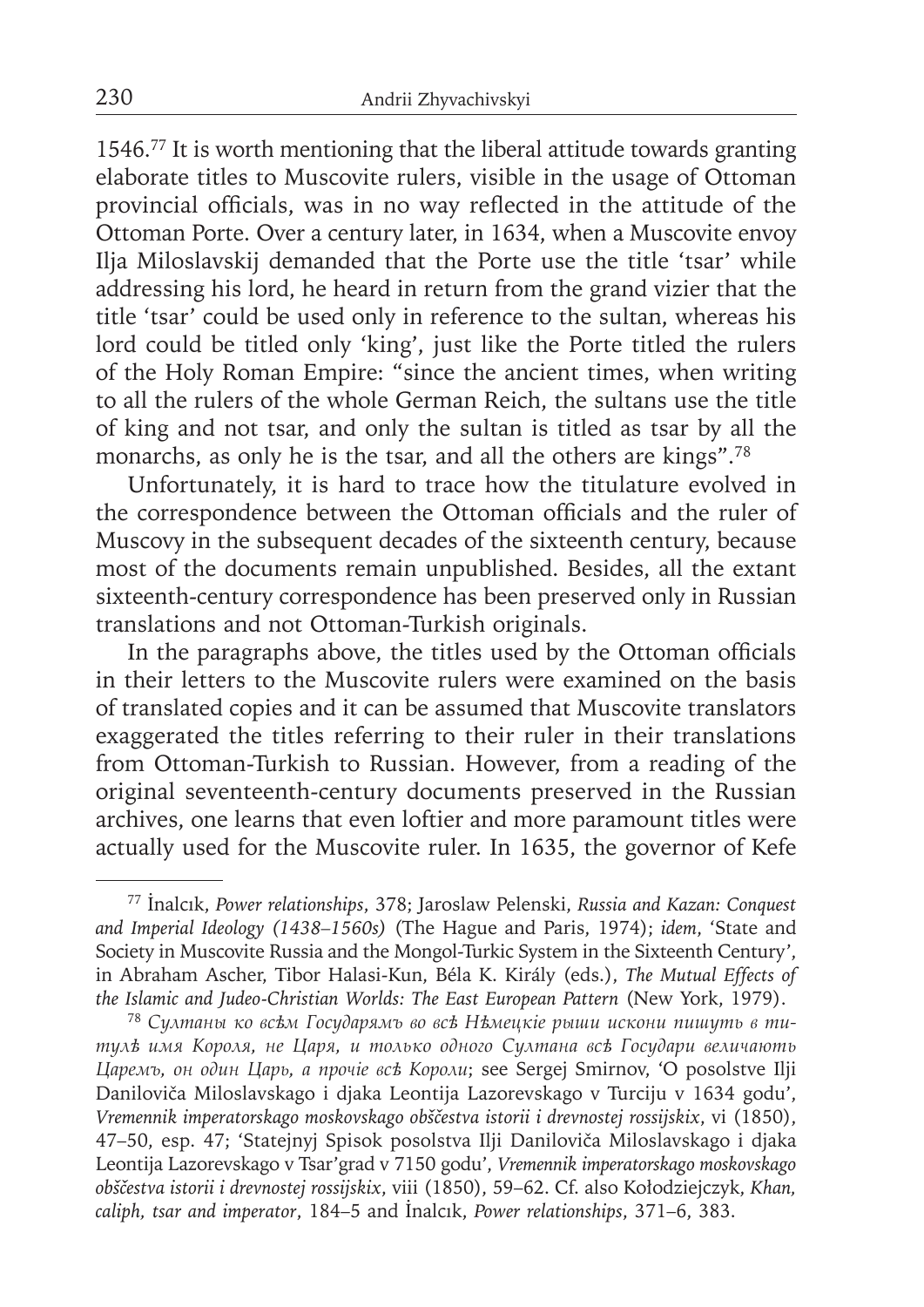1546.77 It is worth mentioning that the liberal attitude towards granting elaborate titles to Muscovite rulers, visible in the usage of Ottoman provincial officials, was in no way reflected in the attitude of the Ottoman Porte. Over a century later, in 1634, when a Muscovite envoy Ilja Miloslavskij demanded that the Porte use the title 'tsar' while addressing his lord, he heard in return from the grand vizier that the title 'tsar' could be used only in reference to the sultan, whereas his lord could be titled only 'king', just like the Porte titled the rulers of the Holy Roman Empire: "since the ancient times, when writing to all the rulers of the whole German Reich, the sultans use the title of king and not tsar, and only the sultan is titled as tsar by all the monarchs, as only he is the tsar, and all the others are kings".78

Unfortunately, it is hard to trace how the titulature evolved in the correspondence between the Ottoman officials and the ruler of Muscovy in the subsequent decades of the sixteenth century, because most of the documents remain unpublished. Besides, all the extant sixteenth-century correspondence has been preserved only in Russian translations and not Ottoman-Turkish originals.

In the paragraphs above, the titles used by the Ottoman officials in their letters to the Muscovite rulers were examined on the basis of translated copies and it can be assumed that Muscovite translators exaggerated the titles referring to their ruler in their translations from Ottoman-Turkish to Russian. However, from a reading of the original seventeenth-century documents preserved in the Russian archives, one learns that even loftier and more paramount titles were actually used for the Muscovite ruler. In 1635, the governor of Kefe

<sup>77</sup>İnalcık, *Power relationships*, 378; Jaroslaw Pelenski, *Russia and Kazan: Conquest and Imperial Ideology (1438–1560s)* (The Hague and Paris, 1974); *idem*, 'State and Society in Muscovite Russia and the Mongol-Turkic System in the Sixteenth Century', in Abraham Ascher, Tibor Halasi-Kun, Béla K. Király (eds.), *The Mutual Effects of the Islamic and Judeo-Christian Worlds: The East European Pattern* (New York, 1979).

<sup>78</sup>*Султаны ко всѣм Государямъ во всѣ Нѣмецкіе рыши искони пишуть в ти тулѣ имя Короля, не Царя, и только одного Султана всѣ Государи величають Царемъ, он один Царь, а прочіе всѣ Короли*; see Sergej Smirnov, 'O posolstve Ilji Daniloviča Miloslavskago i djaka Leontija Lazorevskago v Turciju v 1634 godu', *Vremennik imperatorskago moskovskago obščestva istorii i drevnostej rossijskix*, vi (1850), 47–50, esp. 47; 'Statejnyj Spisok posolstva Ilji Daniloviča Miloslavskago i djaka Leontija Lazorevskago v Tsar'grad v 7150 godu', *Vremennik imperatorskago moskovskago obščestva istorii i drevnostej rossijskix*, viii (1850), 59–62. Cf. also Kołodziejczyk, *Khan, caliph, tsar and imperator*, 184–5 and İnalcık, *Power relationships*, 371–6, 383.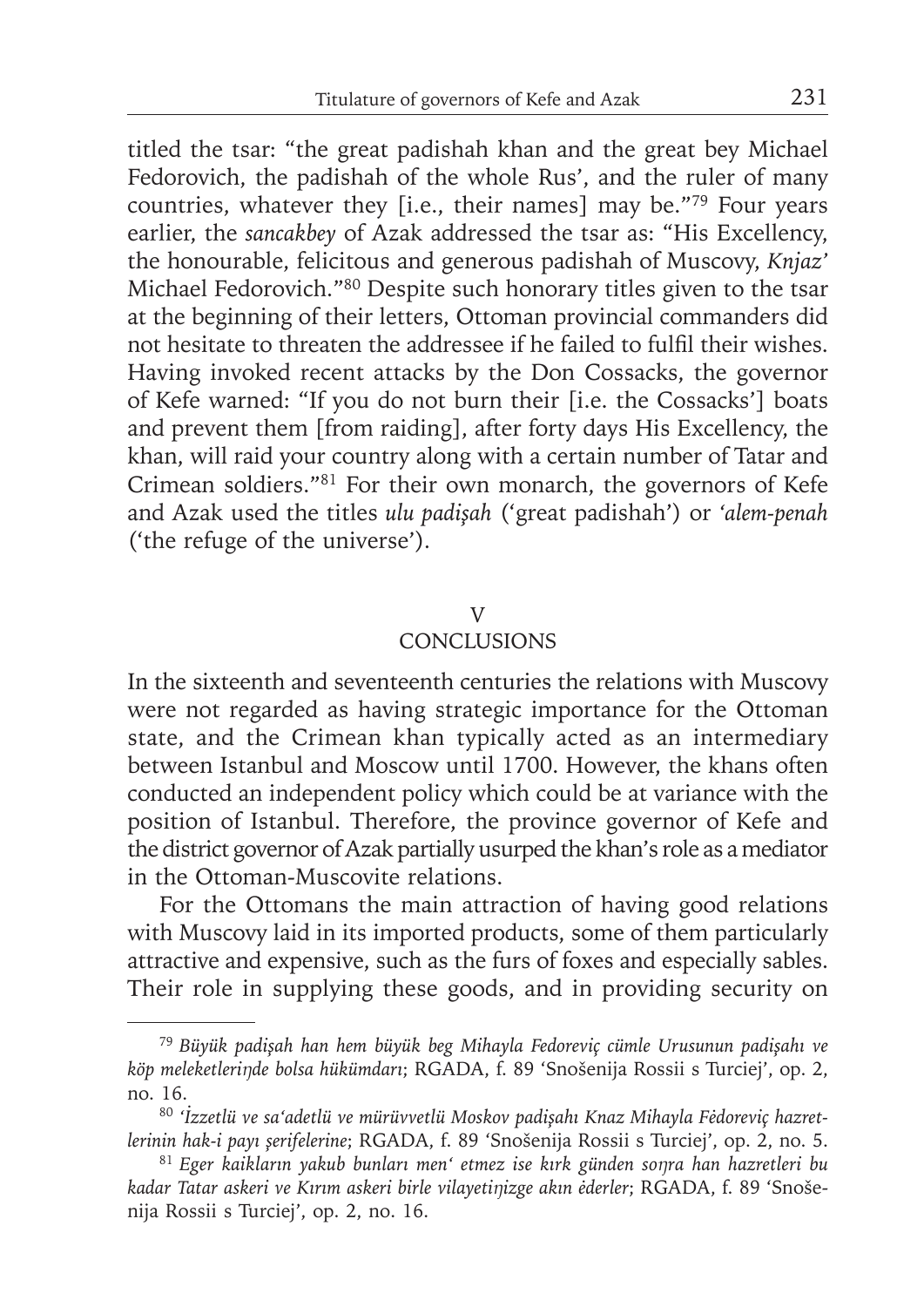titled the tsar: "the great padishah khan and the great bey Michael Fedorovich, the padishah of the whole Rus', and the ruler of many countries, whatever they [i.e., their names] may be."79 Four years earlier, the *sancakbey* of Azak addressed the tsar as: "His Excellency, the honourable, felicitous and generous padishah of Muscovy, *Knjaz'* Michael Fedorovich."80 Despite such honorary titles given to the tsar at the beginning of their letters, Ottoman provincial commanders did not hesitate to threaten the addressee if he failed to fulfil their wishes. Having invoked recent attacks by the Don Cossacks, the governor of Kefe warned: "If you do not burn their [i.e. the Cossacks'] boats and prevent them [from raiding], after forty days His Excellency, the khan, will raid your country along with a certain number of Tatar and Crimean soldiers."81 For their own monarch, the governors of Kefe and Azak used the titles *ulu padişah* ('great padishah') or *'alem-penah*  ('the refuge of the universe')*.*

### V

# **CONCLUSIONS**

In the sixteenth and seventeenth centuries the relations with Muscovy were not regarded as having strategic importance for the Ottoman state, and the Crimean khan typically acted as an intermediary between Istanbul and Moscow until 1700. However, the khans often conducted an independent policy which could be at variance with the position of Istanbul. Therefore, the province governor of Kefe and the district governor of Azak partially usurped the khan's role as a mediator in the Ottoman-Muscovite relations.

For the Ottomans the main attraction of having good relations with Muscovy laid in its imported products, some of them particularly attractive and expensive, such as the furs of foxes and especially sables. Their role in supplying these goods, and in providing security on

<sup>79</sup>*Büyük padişah han hem büyük beg Mihayla Fedoreviç cümle Urusunun padişahı ve köp meleketleriŋde bolsa hükümdarı*; RGADA, f. 89 'Snošenija Rossii s Turciej', op. 2, no. 16.

<sup>80</sup> *'İzzetlü ve sa'adetlü ve mürüvvetlü Moskov padişahı Knaz Mihayla Fėdoreviç hazretlerinin hak-i payı şerifelerine*; RGADA, f. 89 'Snošenija Rossii s Turciej', op. 2, no. 5.

<sup>81</sup>*Eger kaikların yakub bunları men' etmez ise kırk günden soŋra han hazretleri bu kadar Tatar askeri ve Kırım askeri birle vilayetiŋizge akın ėderler*; RGADA, f. 89 'Snošenija Rossii s Turciej', op. 2, no. 16.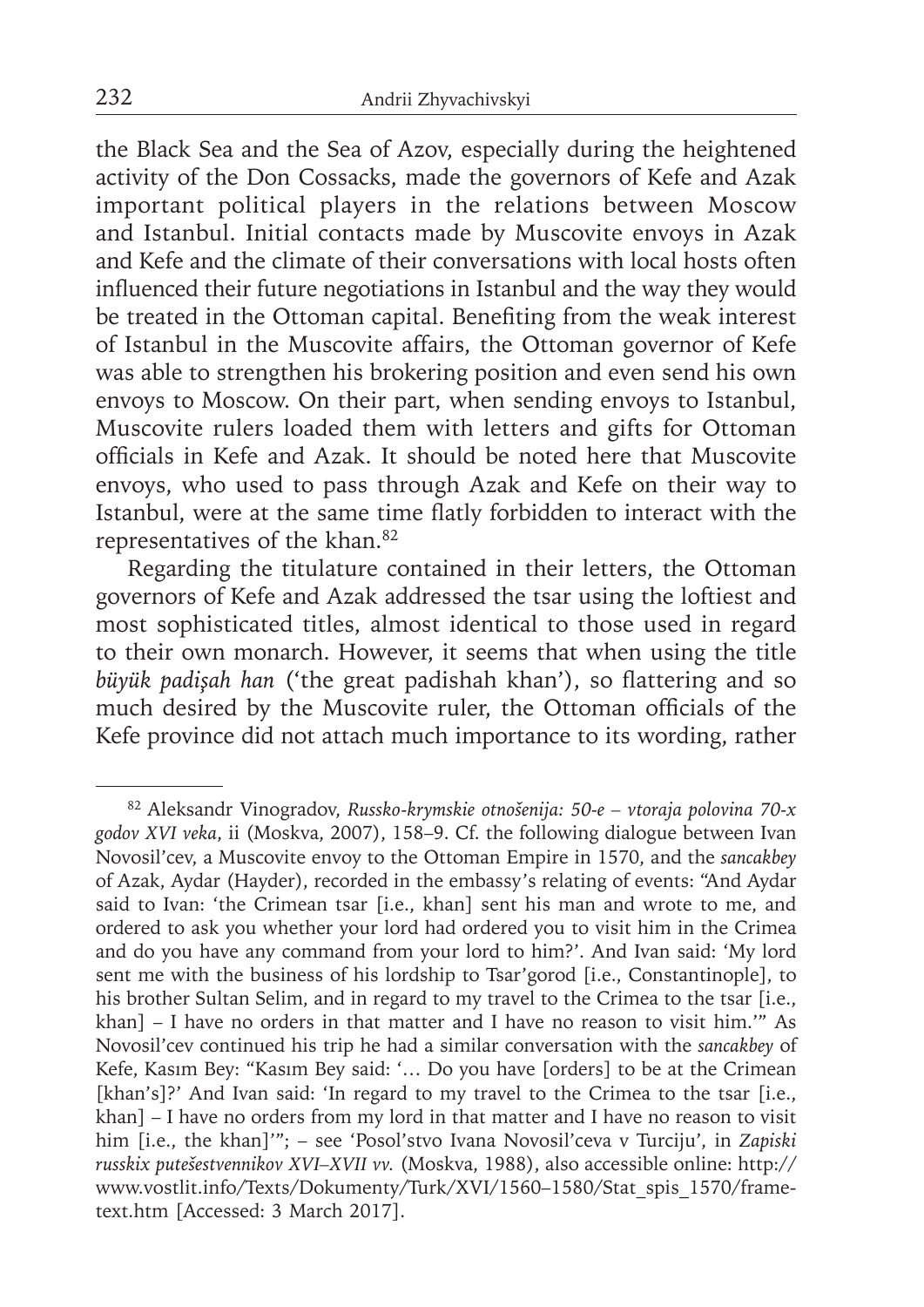the Black Sea and the Sea of Azov, especially during the heightened activity of the Don Cossacks, made the governors of Kefe and Azak important political players in the relations between Moscow and Istanbul. Initial contacts made by Muscovite envoys in Azak and Kefe and the climate of their conversations with local hosts often influenced their future negotiations in Istanbul and the way they would be treated in the Ottoman capital. Benefiting from the weak interest of Istanbul in the Muscovite affairs, the Ottoman governor of Kefe was able to strengthen his brokering position and even send his own envoys to Moscow. On their part, when sending envoys to Istanbul, Muscovite rulers loaded them with letters and gifts for Ottoman offi cials in Kefe and Azak. It should be noted here that Muscovite envoys, who used to pass through Azak and Kefe on their way to Istanbul, were at the same time flatly forbidden to interact with the representatives of the khan.82

Regarding the titulature contained in their letters, the Ottoman governors of Kefe and Azak addressed the tsar using the loftiest and most sophisticated titles, almost identical to those used in regard to their own monarch. However, it seems that when using the title *büyük padişah han* ('the great padishah khan'), so flattering and so much desired by the Muscovite ruler, the Ottoman officials of the Kefe province did not attach much importance to its wording, rather

<sup>82</sup> Aleksandr Vinogradov, *Russko-krymskie otnošenija: 50-e – vtoraja polovina 70-x godov XVI veka*, ii (Moskva, 2007), 158–9. Cf. the following dialogue between Ivan Novosil'cev, a Muscovite envoy to the Ottoman Empire in 1570, and the *sancakbey* of Azak, Aydar (Hayder), recorded in the embassy's relating of events: "And Aydar said to Ivan: 'the Crimean tsar [i.e., khan] sent his man and wrote to me, and ordered to ask you whether your lord had ordered you to visit him in the Crimea and do you have any command from your lord to him?'. And Ivan said: 'My lord sent me with the business of his lordship to Tsar'gorod [i.e., Constantinople], to his brother Sultan Selim, and in regard to my travel to the Crimea to the tsar [i.e., khan] – I have no orders in that matter and I have no reason to visit him.'" As Novosil'cev continued his trip he had a similar conversation with the *sancakbey* of Kefe, Kasım Bey: "Kasım Bey said: '… Do you have [orders] to be at the Crimean [khan's]?' And Ivan said: 'In regard to my travel to the Crimea to the tsar [i.e., khan] – I have no orders from my lord in that matter and I have no reason to visit him [i.e., the khan]'"; – see 'Posol'stvo Ivana Novosil'ceva v Turciju', in *Zapiski russkix putešestvennikov XVI–XVII vv.* (Moskva, 1988), also accessible online: http:// www.vostlit.info/Texts/Dokumenty/Turk/XVI/1560–1580/Stat\_spis\_1570/frametext.htm [Accessed: 3 March 2017].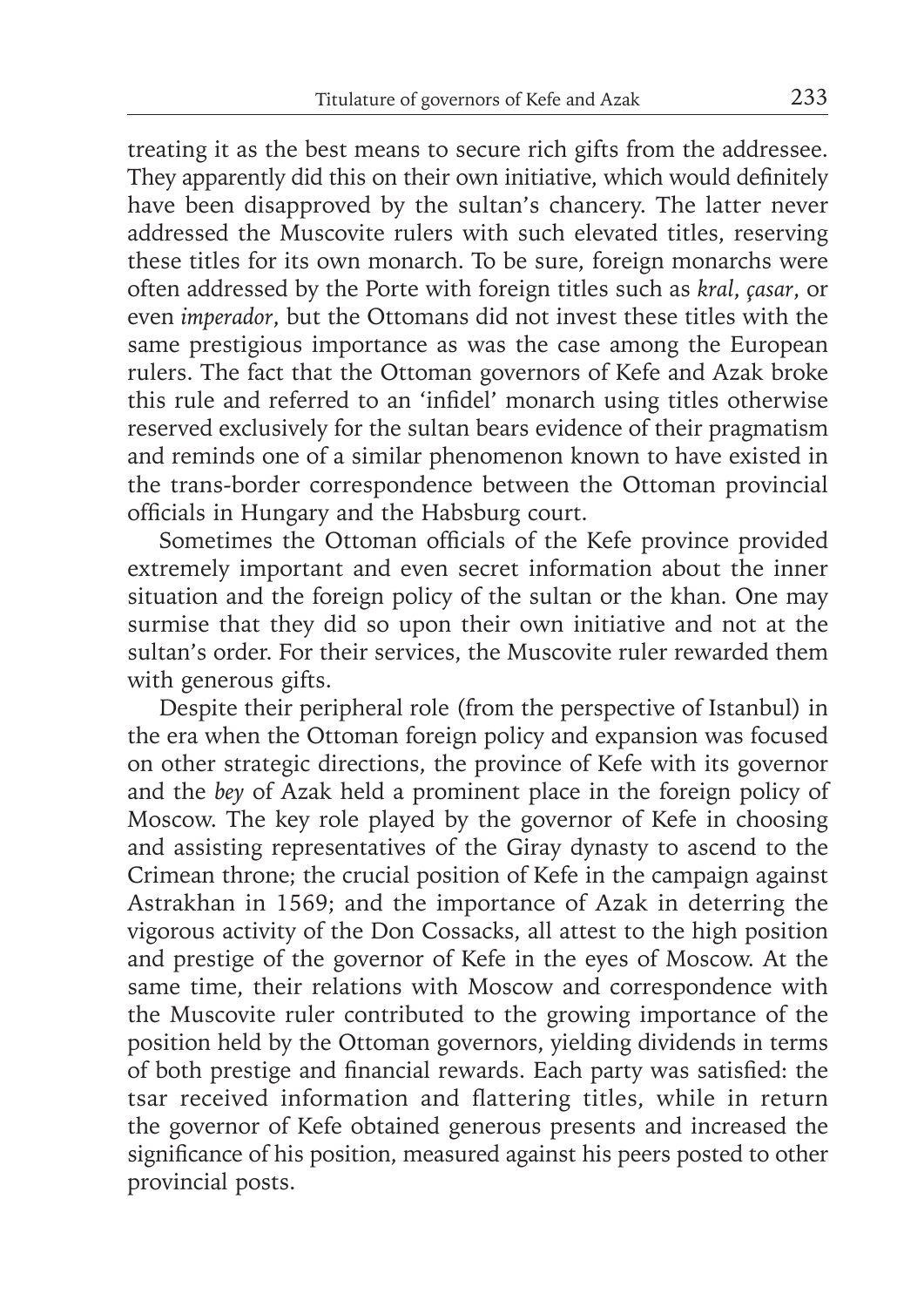treating it as the best means to secure rich gifts from the addressee. They apparently did this on their own initiative, which would definitely have been disapproved by the sultan's chancery. The latter never addressed the Muscovite rulers with such elevated titles, reserving these titles for its own monarch. To be sure, foreign monarchs were often addressed by the Porte with foreign titles such as *kral*, *çasar*, or even *imperador*, but the Ottomans did not invest these titles with the same prestigious importance as was the case among the European rulers. The fact that the Ottoman governors of Kefe and Azak broke this rule and referred to an 'infidel' monarch using titles otherwise reserved exclusively for the sultan bears evidence of their pragmatism and reminds one of a similar phenomenon known to have existed in the trans-border correspondence between the Ottoman provincial officials in Hungary and the Habsburg court.

Sometimes the Ottoman officials of the Kefe province provided extremely important and even secret information about the inner situation and the foreign policy of the sultan or the khan. One may surmise that they did so upon their own initiative and not at the sultan's order. For their services, the Muscovite ruler rewarded them with generous gifts.

Despite their peripheral role (from the perspective of Istanbul) in the era when the Ottoman foreign policy and expansion was focused on other strategic directions, the province of Kefe with its governor and the *bey* of Azak held a prominent place in the foreign policy of Moscow. The key role played by the governor of Kefe in choosing and assisting representatives of the Giray dynasty to ascend to the Crimean throne; the crucial position of Kefe in the campaign against Astrakhan in 1569; and the importance of Azak in deterring the vigorous activity of the Don Cossacks, all attest to the high position and prestige of the governor of Kefe in the eyes of Moscow. At the same time, their relations with Moscow and correspondence with the Muscovite ruler contributed to the growing importance of the position held by the Ottoman governors, yielding dividends in terms of both prestige and financial rewards. Each party was satisfied: the tsar received information and flattering titles, while in return the governor of Kefe obtained generous presents and increased the significance of his position, measured against his peers posted to other provincial posts.